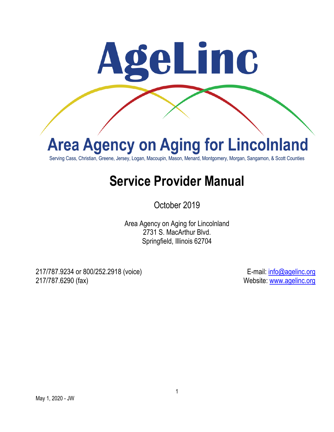

# **Area Agency on Aging for Lincolnland**

Serving Cass, Christian, Greene, Jersey, Logan, Macoupin, Mason, Menard, Montgomery, Morgan, Sangamon, & Scott Counties

## **Service Provider Manual**

October 2019

Area Agency on Aging for Lincolnland 2731 S. MacArthur Blvd. Springfield, Illinois 62704

217/787.9234 or 800/252.2918 (voice) E-mail: info@agelinc.org 217/787.6290 (fax) Website: www.agelinc.org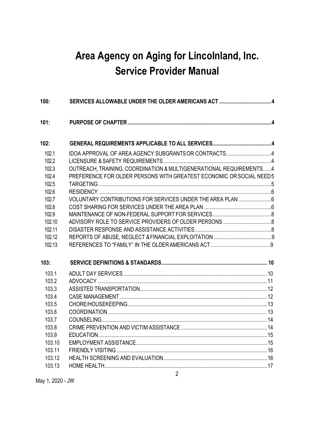### **Area Agency on Aging for Lincolnland, Inc. Service Provider Manual**

| OUTREACH, TRAINING, COORDINATION & MULTIGENERATIONAL REQUIREMENTS4<br>PREFERENCE FOR OLDER PERSONS WITH GREATEST ECONOMIC OR SOCIAL NEED5 |
|-------------------------------------------------------------------------------------------------------------------------------------------|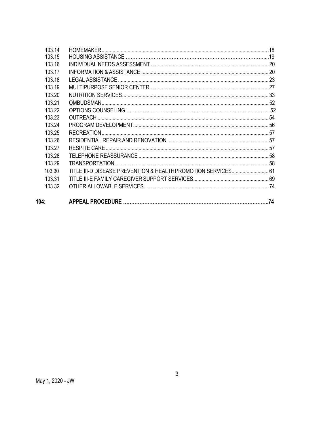| 104:   |                                                               |  |
|--------|---------------------------------------------------------------|--|
| 103.32 |                                                               |  |
| 103 31 |                                                               |  |
| 103.30 | TITLE III-D DISEASE PREVENTION & HEALTH PROMOTION SERVICES 61 |  |
| 103.29 |                                                               |  |
| 103 28 |                                                               |  |
| 103.27 |                                                               |  |
| 103.26 |                                                               |  |
| 103.25 |                                                               |  |
| 103.24 |                                                               |  |
| 103.23 |                                                               |  |
| 103.22 |                                                               |  |
| 103.21 |                                                               |  |
| 103.20 |                                                               |  |
| 103.19 |                                                               |  |
| 103.18 |                                                               |  |
| 103.17 |                                                               |  |
| 103.16 |                                                               |  |
| 103.15 |                                                               |  |
| 103.14 |                                                               |  |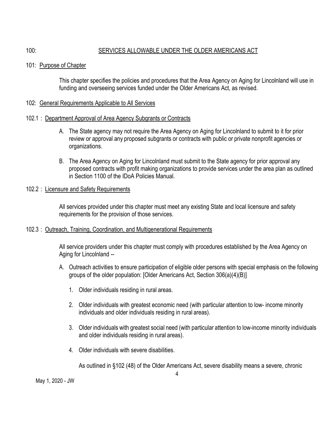#### 100: SERVICES ALLOWABLE UNDER THE OLDER AMERICANS ACT

101: Purpose of Chapter

This chapter specifies the policies and procedures that the Area Agency on Aging for Lincolnland will use in funding and overseeing services funded under the Older Americans Act, as revised.

#### 102: General Requirements Applicable to All Services

#### 102.1 : Department Approval of Area Agency Subgrants or Contracts

- A. The State agency may not require the Area Agency on Aging for Lincolnland to submit to it for prior review or approval any proposed subgrants or contracts with public or private nonprofit agencies or organizations.
- B. The Area Agency on Aging for Lincolnland must submit to the State agency for prior approval any proposed contracts with profit making organizations to provide services under the area plan as outlined in Section 1100 of the IDoA Policies Manual.

#### 102.2 : Licensure and Safety Requirements

All services provided under this chapter must meet any existing State and local licensure and safety requirements for the provision of those services.

#### 102.3 : Outreach, Training, Coordination, and Multigenerational Requirements

All service providers under this chapter must comply with procedures established by the Area Agency on Aging for Lincolnland --

- A. Outreach activities to ensure participation of eligible older persons with special emphasis on the following groups of the older population: [Older Americans Act, Section 306(a)(4)(B)]
	- 1. Older individuals residing in rural areas.
	- 2. Older individuals with greatest economic need (with particular attention to low- income minority individuals and older individuals residing in rural areas).
	- 3. Older individuals with greatest social need (with particular attention to low-income minority individuals and older individuals residing in rural areas).
	- 4. Older individuals with severe disabilities.

As outlined in §102 (48) of the Older Americans Act, severe disability means a severe, chronic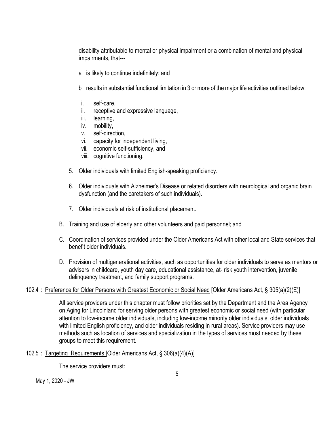disability attributable to mental or physical impairment or a combination of mental and physical impairments, that---

- a. is likely to continue indefinitely; and
- b. results in substantial functional limitation in 3 or more of the major life activities outlined below:
- i. self-care,
- ii. receptive and expressive language,
- iii. learning,
- iv. mobility,
- v. self-direction,
- vi. capacity for independent living,
- vii. economic self-sufficiency, and
- viii. cognitive functioning.
- 5. Older individuals with limited English-speaking proficiency.
- 6. Older individuals with Alzheimer's Disease or related disorders with neurological and organic brain dysfunction (and the caretakers of such individuals).
- 7. Older individuals at risk of institutional placement.
- B. Training and use of elderly and other volunteers and paid personnel; and
- C. Coordination of services provided under the Older Americans Act with other local and State services that benefit older individuals.
- D. Provision of multigenerational activities, such as opportunities for older individuals to serve as mentors or advisers in childcare, youth day care, educational assistance, at- risk youth intervention, juvenile delinquency treatment, and family support programs.

#### 102.4 : Preference for Older Persons with Greatest Economic or Social Need [Older Americans Act, § 305(a)(2)(E)]

All service providers under this chapter must follow priorities set by the Department and the Area Agency on Aging for Lincolnland for serving older persons with greatest economic or social need (with particular attention to low-income older individuals, including low-income minority older individuals, older individuals with limited English proficiency, and older individuals residing in rural areas). Service providers may use methods such as location of services and specialization in the types of services most needed by these groups to meet this requirement.

#### 102.5 : Targeting Requirements [Older Americans Act, § 306(a)(4)(A)]

The service providers must: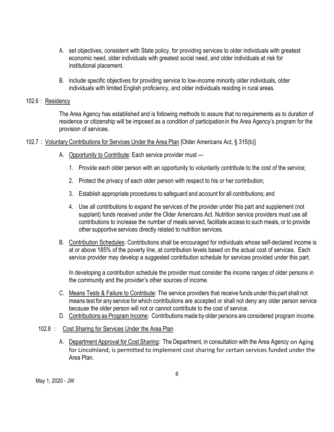- A. set objectives, consistent with State policy, for providing services to older individuals with greatest economic need, older individuals with greatest social need, and older individuals at risk for institutional placement.
- B. include specific objectives for providing service to low-income minority older individuals, older individuals with limited English proficiency, and older individuals residing in rural areas.

#### 102.6 : Residency

The Area Agency has established and is following methods to assure that no requirements as to duration of residence or citizenship will be imposed as a condition of participationin the Area Agency's program for the provision of services.

- 102.7 : Voluntary Contributions for Services Under the Area Plan [Older Americans Act, § 315(b)]
	- A. Opportunity to Contribute: Each service provider must ---
		- 1. Provide each older person with an opportunity to voluntarily contribute to the cost of the service;
		- 2. Protect the privacy of each older person with respect to his or her contribution;
		- 3. Establish appropriate procedures to safeguard and account for all contributions; and
		- 4. Use all contributions to expand the services of the provider under this part and supplement (not supplant) funds received under the Older Americans Act. Nutrition service providers must use all contributions to increase the number of meals served, facilitate access to such meals, or to provide other supportive services directly related to nutrition services.
	- B. Contribution Schedules: Contributions shall be encouraged for individuals whose self-declared income is at or above 185% of the poverty line, at contribution levels based on the actual cost of services. Each service provider may develop a suggested contribution schedule for services provided under this part.

In developing a contribution schedule the provider must consider the income ranges of older persons in the community and the provider's other sources of income.

- C. Means Tests & Failure to Contribute: The service providers that receive funds under this part shall not means test for any service for which contributions are accepted or shall not deny any older person service because the older person will not or cannot contribute to the cost of service.
- D. Contributions as Program Income: Contributions made by older persons are considered program income.

#### 102.8 : Cost Sharing for Services Under the Area Plan

A. Department Approval for Cost Sharing: The Department, in consultation with the Area Agency on Aging for Lincolnland, is permitted to implement cost sharing for certain services funded under the Area Plan.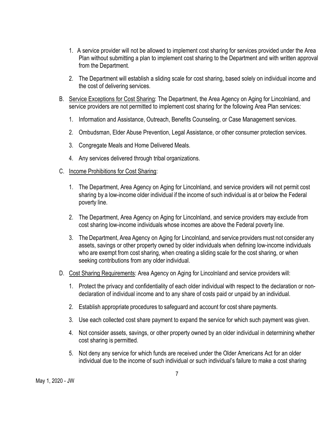- 1. A service provider will not be allowed to implement cost sharing for services provided under the Area Plan without submitting a plan to implement cost sharing to the Department and with written approval from the Department.
- 2. The Department will establish a sliding scale for cost sharing, based solely on individual income and the cost of delivering services.
- B. Service Exceptions for Cost Sharing: The Department, the Area Agency on Aging for Lincolnland, and service providers are not permitted to implement cost sharing for the following Area Plan services:
	- 1. Information and Assistance, Outreach, Benefits Counseling, or Case Management services.
	- 2. Ombudsman, Elder Abuse Prevention, Legal Assistance, or other consumer protection services.
	- 3. Congregate Meals and Home Delivered Meals.
	- 4. Any services delivered through tribal organizations.
- C. Income Prohibitions for Cost Sharing:
	- 1. The Department, Area Agency on Aging for Lincolnland, and service providers will not permit cost sharing by a low-income older individual if the income of such individual is at or below the Federal poverty line.
	- 2. The Department, Area Agency on Aging for Lincolnland, and service providers may exclude from cost sharing low-income individuals whose incomes are above the Federal poverty line.
	- 3. The Department, Area Agency on Aging for Lincolnland, and service providers must not consider any assets, savings or other property owned by older individuals when defining low-income individuals who are exempt from cost sharing, when creating a sliding scale for the cost sharing, or when seeking contributions from any older individual.
- D. Cost Sharing Requirements: Area Agency on Aging for Lincolnland and service providers will:
	- 1. Protect the privacy and confidentiality of each older individual with respect to the declaration or nondeclaration of individual income and to any share of costs paid or unpaid by an individual.
	- 2. Establish appropriate procedures to safeguard and account for cost share payments.
	- 3. Use each collected cost share payment to expand the service for which such payment was given.
	- 4. Not consider assets, savings, or other property owned by an older individual in determining whether cost sharing is permitted.
	- 5. Not deny any service for which funds are received under the Older Americans Act for an older individual due to the income of such individual or such individual's failure to make a cost sharing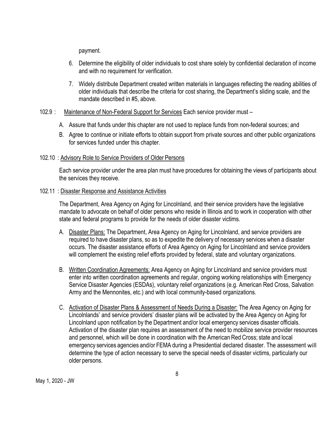payment.

- 6. Determine the eligibility of older individuals to cost share solely by confidential declaration of income and with no requirement for verification.
- 7. Widely distribute Department created written materials in languages reflecting the reading abilities of older individuals that describe the criteria for cost sharing, the Department's sliding scale, and the mandate described in #5, above.

#### 102.9 : Maintenance of Non-Federal Support for Services Each service provider must –

- A. Assure that funds under this chapter are not used to replace funds from non-federal sources; and
- B. Agree to continue or initiate efforts to obtain support from private sources and other public organizations for services funded under this chapter.

#### 102.10 : Advisory Role to Service Providers of Older Persons

Each service provider under the area plan must have procedures for obtaining the views of participants about the services they receive.

#### 102.11 : Disaster Response and Assistance Activities

The Department, Area Agency on Aging for Lincolnland, and their service providers have the legislative mandate to advocate on behalf of older persons who reside in Illinois and to work in cooperation with other state and federal programs to provide for the needs of older disaster victims.

- A. Disaster Plans: The Department, Area Agency on Aging for Lincolnland, and service providers are required to have disaster plans, so as to expedite the delivery of necessary services when a disaster occurs. The disaster assistance efforts of Area Agency on Aging for Lincolnland and service providers will complement the existing relief efforts provided by federal, state and voluntary organizations.
- B. Written Coordination Agreements: Area Agency on Aging for Lincolnland and service providers must enter into written coordination agreements and regular, ongoing working relationships with Emergency Service Disaster Agencies (ESDAs), voluntary relief organizations (e.g. American Red Cross, Salvation Army and the Mennonites, etc.) and with local community-based organizations.
- C. Activation of Disaster Plans & Assessment of Needs During a Disaster: The Area Agency on Aging for Lincolnlands' and service providers' disaster plans will be activated by the Area Agency on Aging for Lincolnland upon notification by the Department and/or local emergency services disaster officials. Activation of the disaster plan requires an assessment of the need to mobilize service provider resources and personnel, which will be done in coordination with the American Red Cross; state and local emergency services agencies and/or FEMA during a Presidential declared disaster. The assessment will determine the type of action necessary to serve the special needs of disaster victims, particularly our older persons.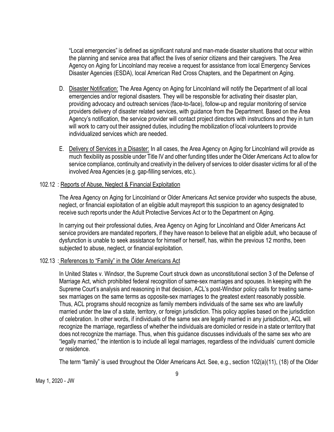"Local emergencies" is defined as significant natural and man-made disaster situations that occur within the planning and service area that affect the lives of senior citizens and their caregivers. The Area Agency on Aging for Lincolnland may receive a request for assistance from local Emergency Services Disaster Agencies (ESDA), local American Red Cross Chapters, and the Department on Aging.

- D. Disaster Notification: The Area Agency on Aging for Lincolnland will notify the Department of all local emergencies and/or regional disasters. They will be responsible for activating their disaster plan, providing advocacy and outreach services (face-to-face), follow-up and regular monitoring of service providers delivery of disaster related services, with guidance from the Department. Based on the Area Agency's notification, the service provider will contact project directors with instructions and they in turn will work to carry out their assigned duties, including the mobilization of local volunteers to provide individualized services which are needed.
- E. Delivery of Services in a Disaster: In all cases, the Area Agency on Aging for Lincolnland will provide as much flexibility as possible under Title IV and other funding titles under the Older Americans Act to allow for service compliance, continuity and creativity in the delivery of services to older disaster victims for all of the involved Area Agencies (e.g. gap-filling services, etc.).

#### 102.12 : Reports of Abuse, Neglect & Financial Exploitation

The Area Agency on Aging for Lincolnland or Older Americans Act service provider who suspects the abuse, neglect, or financial exploitation of an eligible adult mayreport this suspicion to an agency designated to receive such reports under the Adult Protective Services Act or to the Department on Aging.

In carrying out their professional duties, Area Agency on Aging for Lincolnland and Older Americans Act service providers are mandated reporters, if they have reason to believe that an eligible adult, who because of dysfunction is unable to seek assistance for himself or herself, has, within the previous 12 months, been subjected to abuse, neglect, or financial exploitation.

#### 102.13 : References to "Family" in the Older Americans Act

In United States v. Windsor, the Supreme Court struck down as unconstitutional section 3 of the Defense of Marriage Act, which prohibited federal recognition of same-sex marriages and spouses. In keeping with the Supreme Court's analysis and reasoning in that decision, ACL's post-Windsor policy calls for treating samesex marriages on the same terms as opposite-sex marriages to the greatest extent reasonably possible. Thus, ACL programs should recognize as family members individuals of the same sex who are lawfully married under the law of a state, territory, or foreign jurisdiction. This policy applies based on the jurisdiction of celebration. In other words, if individuals of the same sex are legally married in any jurisdiction, ACL will recognize the marriage, regardless of whether the individuals are domiciled or reside in a state or territory that does not recognize the marriage. Thus, when this guidance discusses individuals of the same sex who are "legally married," the intention is to include all legal marriages, regardless of the individuals' current domicile or residence.

The term "family" is used throughout the Older Americans Act. See, e.g., section 102(a)(11), (18) of the Older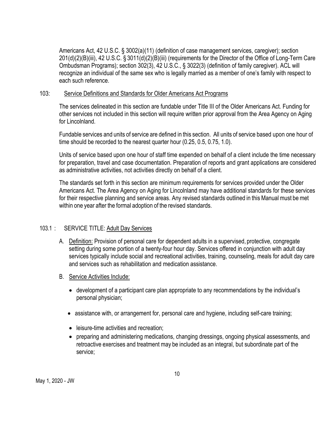Americans Act, 42 U.S.C. § 3002(a)(11) (definition of case management services, caregiver); section 201(d)(2)(B)(iii), 42 U.S.C. § 3011(d)(2)(B)(iii) (requirements for the Director of the Office of Long-Term Care Ombudsman Programs); section 302(3), 42 U.S.C., § 3022(3) (definition of family caregiver). ACL will recognize an individual of the same sex who is legally married as a member of one's family with respect to each such reference.

#### 103: Service Definitions and Standards for Older Americans Act Programs

The services delineated in this section are fundable under Title III of the Older Americans Act. Funding for other services not included in this section will require written prior approval from the Area Agency on Aging for Lincolnland

Fundable services and units of service are defined in this section. All units of service based upon one hour of time should be recorded to the nearest quarter hour (0.25, 0.5, 0.75, 1.0).

Units of service based upon one hour of staff time expended on behalf of a client include the time necessary for preparation, travel and case documentation. Preparation of reports and grant applications are considered as administrative activities, not activities directly on behalf of a client.

The standards set forth in this section are minimum requirements for services provided under the Older Americans Act. The Area Agency on Aging for Lincolnland may have additional standards for these services for their respective planning and service areas. Any revised standards outlined in this Manual must be met within one year after the formal adoption of the revised standards.

#### 103.1 : SERVICE TITLE: Adult Day Services

- A. Definition: Provision of personal care for dependent adults in a supervised, protective, congregate setting during some portion of a twenty-four hour day. Services offered in conjunction with adult day services typically include social and recreational activities, training, counseling, meals for adult day care and services such as rehabilitation and medication assistance.
- B. Service Activities Include:
	- development of a participant care plan appropriate to any recommendations by the individual's personal physician;
	- assistance with, or arrangement for, personal care and hygiene, including self-care training;
	- leisure-time activities and recreation;
	- preparing and administering medications, changing dressings, ongoing physical assessments, and retroactive exercises and treatment may be included as an integral, but subordinate part of the service;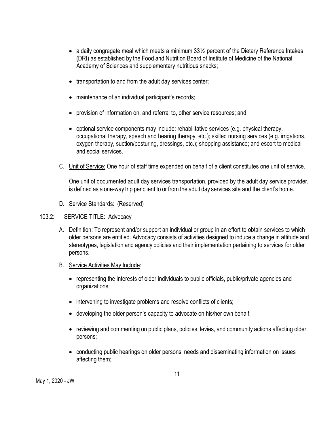- a daily congregate meal which meets a minimum 33⅓ percent of the Dietary Reference Intakes (DRI) as established by the Food and Nutrition Board of Institute of Medicine of the National Academy of Sciences and supplementary nutritious snacks;
- transportation to and from the adult day services center;
- maintenance of an individual participant's records;
- provision of information on, and referral to, other service resources; and
- optional service components may include: rehabilitative services (e.g. physical therapy, occupational therapy, speech and hearing therapy, etc.); skilled nursing services (e.g. irrigations, oxygen therapy, suction/posturing, dressings, etc.); shopping assistance; and escort to medical and social services.
- C. Unit of Service: One hour of staff time expended on behalf of a client constitutes one unit of service.

One unit of documented adult day services transportation, provided by the adult day service provider, is defined as a one-way trip per client to or from the adult day services site and the client's home.

D. Service Standards: (Reserved)

#### 103.2: SERVICE TITLE: Advocacy

- A. Definition: To represent and/or support an individual or group in an effort to obtain services to which older persons are entitled. Advocacy consists of activities designed to induce a change in attitude and stereotypes, legislation and agency policies and their implementation pertaining to services for older persons.
- B. Service Activities May Include:
	- representing the interests of older individuals to public officials, public/private agencies and organizations;
	- intervening to investigate problems and resolve conflicts of clients;
	- developing the older person's capacity to advocate on his/her own behalf;
	- reviewing and commenting on public plans, policies, levies, and community actions affecting older persons;
	- conducting public hearings on older persons' needs and disseminating information on issues affecting them;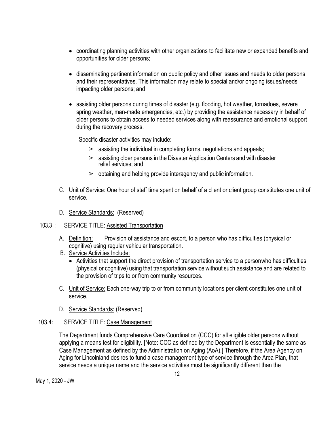- coordinating planning activities with other organizations to facilitate new or expanded benefits and opportunities for older persons;
- disseminating pertinent information on public policy and other issues and needs to older persons and their representatives. This information may relate to special and/or ongoing issues/needs impacting older persons; and
- assisting older persons during times of disaster (e.g. flooding, hot weather, tornadoes, severe spring weather, man-made emergencies, etc.) by providing the assistance necessary in behalf of older persons to obtain access to needed services along with reassurance and emotional support during the recovery process.

Specific disaster activities may include:

- $\geq$  assisting the individual in completing forms, negotiations and appeals;
- $\geq$  assisting older persons in the Disaster Application Centers and with disaster relief services; and
- $\geq$  obtaining and helping provide interagency and public information.
- C. Unit of Service: One hour of staff time spent on behalf of a client or client group constitutes one unit of service.
- D. Service Standards: (Reserved)

#### 103.3 : SERVICE TITLE: Assisted Transportation

- A. Definition: Provision of assistance and escort, to a person who has difficulties (physical or cognitive) using regular vehicular transportation.
- B. Service Activities Include:
	- Activities that support the direct provision of transportation service to a personwho has difficulties (physical or cognitive) using that transportation service without such assistance and are related to the provision of trips to or from community resources.
- C. Unit of Service: Each one-way trip to or from community locations per client constitutes one unit of service.
- D. Service Standards: (Reserved)

#### 103.4: SERVICE TITLE: Case Management

The Department funds Comprehensive Care Coordination (CCC) for all eligible older persons without applying a means test for eligibility. [Note: CCC as defined by the Department is essentially the same as Case Management as defined by the Administration on Aging (AoA).] Therefore, if the Area Agency on Aging for Lincolnland desires to fund a case management type of service through the Area Plan, that service needs a unique name and the service activities must be significantly different than the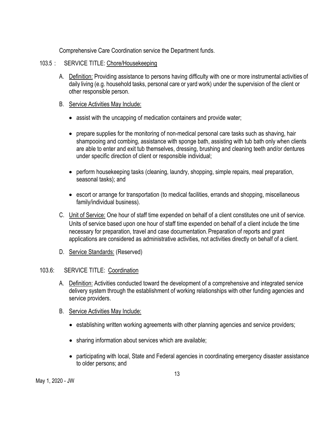Comprehensive Care Coordination service the Department funds.

- 103.5 : SERVICE TITLE: Chore/Housekeeping
	- A. Definition: Providing assistance to persons having difficulty with one or more instrumental activities of daily living (e.g. household tasks, personal care or yard work) under the supervision of the client or other responsible person.
	- B. Service Activities May Include:
		- assist with the uncapping of medication containers and provide water;
		- prepare supplies for the monitoring of non-medical personal care tasks such as shaving, hair shampooing and combing, assistance with sponge bath, assisting with tub bath only when clients are able to enter and exit tub themselves, dressing, brushing and cleaning teeth and/or dentures under specific direction of client or responsible individual;
		- perform housekeeping tasks (cleaning, laundry, shopping, simple repairs, meal preparation, seasonal tasks); and
		- escort or arrange for transportation (to medical facilities, errands and shopping, miscellaneous family/individual business).
	- C. Unit of Service: One hour of staff time expended on behalf of a client constitutes one unit of service. Units of service based upon one hour of staff time expended on behalf of a client include the time necessary for preparation, travel and case documentation. Preparation of reports and grant applications are considered as administrative activities, not activities directly on behalf of a client.
	- D. Service Standards: (Reserved)

#### 103.6: SERVICE TITLE: Coordination

- A. Definition: Activities conducted toward the development of a comprehensive and integrated service delivery system through the establishment of working relationships with other funding agencies and service providers.
- B. Service Activities May Include:
	- establishing written working agreements with other planning agencies and service providers;
	- sharing information about services which are available;
	- participating with local, State and Federal agencies in coordinating emergency disaster assistance to older persons; and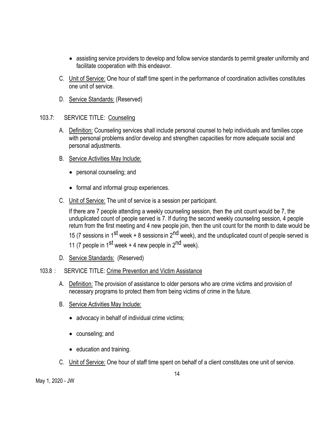- assisting service providers to develop and follow service standards to permit greater uniformity and facilitate cooperation with this endeavor.
- C. Unit of Service: One hour of staff time spent in the performance of coordination activities constitutes one unit of service.
- D. Service Standards: (Reserved)
- 103.7: SERVICE TITLE: Counseling
	- A. Definition: Counseling services shall include personal counsel to help individuals and families cope with personal problems and/or develop and strengthen capacities for more adequate social and personal adjustments.
	- B. Service Activities May Include:
		- personal counseling; and
		- formal and informal group experiences.
	- C. Unit of Service: The unit of service is a session per participant.

If there are 7 people attending a weekly counseling session, then the unit count would be 7, the unduplicated count of people served is 7. If during the second weekly counseling session, 4 people return from the first meeting and 4 new people join, then the unit count for the month to date would be 15 (7 sessions in 1<sup>st</sup> week + 8 sessions in 2<sup>nd</sup> week), and the unduplicated count of people served is 11 (7 people in  $1^{st}$  week + 4 new people in  $2^{nd}$  week).

D. Service Standards: (Reserved)

#### 103.8 : SERVICE TITLE: Crime Prevention and Victim Assistance

- A. Definition: The provision of assistance to older persons who are crime victims and provision of necessary programs to protect them from being victims of crime in the future.
- B. Service Activities May Include:
	- advocacy in behalf of individual crime victims;
	- counseling; and
	- education and training.
- C. Unit of Service: One hour of staff time spent on behalf of a client constitutes one unit of service.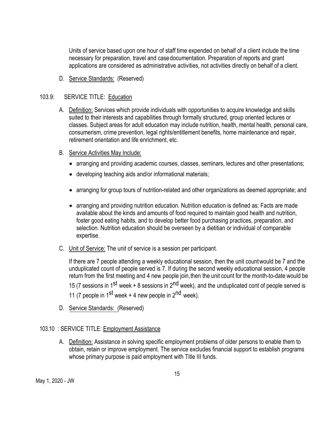Units of service based upon one hour of staff time expended on behalf of a client include the time necessary for preparation, travel and casedocumentation. Preparation of reports and grant applications are considered as administrative activities, not activities directly on behalf of a client.

D. Service Standards: (Reserved)

#### 103.9: SERVICE TITLE: Education

- A. Definition: Services which provide individuals with opportunities to acquire knowledge and skills suited to their interests and capabilities through formally structured, group oriented lectures or classes. Subject areas for adult education may include nutrition, health, mental health, personal care, consumerism, crime prevention, legal rights/entitlement benefits, home maintenance and repair, retirement orientation and life enrichment, etc.
- B. Service Activities May Include:
	- arranging and providing academic courses, classes, seminars, lectures and other presentations;
	- developing teaching aids and/or informational materials;
	- arranging for group tours of nutrition-related and other organizations as deemed appropriate; and
	- arranging and providing nutrition education. Nutrition education is defined as: Facts are made available about the kinds and amounts of food required to maintain good health and nutrition, foster good eating habits, and to develop better food purchasing practices, preparation, and selection. Nutrition education should be overseen by a dietitian or individual of comparable expertise.
- C. Unit of Service: The unit of service is a session per participant.

If there are 7 people attending a weekly educational session, then the unit countwould be 7 and the unduplicated count of people served is 7. If during the second weekly educational session, 4 people return from the first meeting and 4 new people join,then the unit count for the month-to-date would be 15 (7 sessions in 1<sup>st</sup> week + 8 sessions in 2<sup>nd</sup> week), and the unduplicated cont of people served is 11 (7 people in  $1^{st}$  week + 4 new people in  $2^{nd}$  week).

D. Service Standards: (Reserved)

#### 103.10 : SERVICE TITLE: Employment Assistance

A. Definition: Assistance in solving specific employment problems of older persons to enable them to obtain, retain or improve employment. The service excludes financial support to establish programs whose primary purpose is paid employment with Title III funds.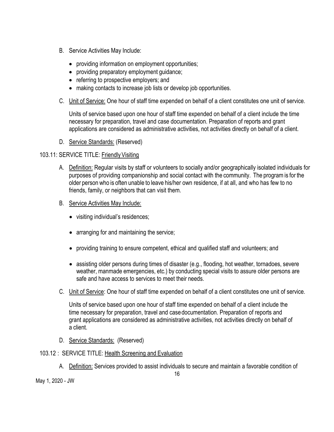- B. Service Activities May Include:
	- providing information on employment opportunities;
	- providing preparatory employment guidance;
	- referring to prospective employers; and
	- making contacts to increase job lists or develop job opportunities.
- C. Unit of Service: One hour of staff time expended on behalf of a client constitutes one unit of service.

Units of service based upon one hour of staff time expended on behalf of a client include the time necessary for preparation, travel and case documentation. Preparation of reports and grant applications are considered as administrative activities, not activities directly on behalf of a client.

D. Service Standards: (Reserved)

#### 103.11: SERVICE TITLE: Friendly Visiting

- A. Definition: Regular visits by staff or volunteers to socially and/or geographically isolated individuals for purposes of providing companionship and social contact with the community. The programis for the older person who is often unable to leave his/her own residence, if at all, and who has few to no friends, family, or neighbors that can visit them.
- B. Service Activities May Include:
	- visiting individual's residences;
	- arranging for and maintaining the service;
	- providing training to ensure competent, ethical and qualified staff and volunteers; and
	- assisting older persons during times of disaster (e.g., flooding, hot weather, tornadoes, severe weather, manmade emergencies, etc.) by conducting special visits to assure older persons are safe and have access to services to meet their needs.
- C. Unit of Service: One hour of staff time expended on behalf of a client constitutes one unit of service.

Units of service based upon one hour of staff time expended on behalf of a client include the time necessary for preparation, travel and casedocumentation. Preparation of reports and grant applications are considered as administrative activities, not activities directly on behalf of a client.

D. Service Standards: (Reserved)

#### 103.12 : SERVICE TITLE: Health Screening and Evaluation

A. Definition: Services provided to assist individuals to secure and maintain a favorable condition of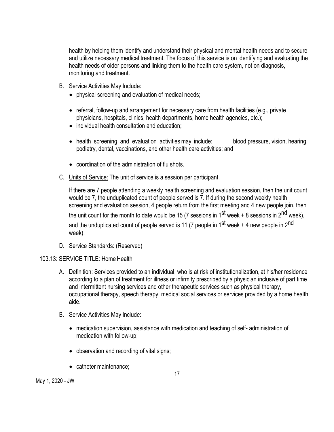health by helping them identify and understand their physical and mental health needs and to secure and utilize necessary medical treatment. The focus of this service is on identifying and evaluating the health needs of older persons and linking them to the health care system, not on diagnosis, monitoring and treatment.

- B. Service Activities May Include:
	- physical screening and evaluation of medical needs;
	- referral, follow-up and arrangement for necessary care from health facilities (e.g., private physicians, hospitals, clinics, health departments, home health agencies, etc.);
	- individual health consultation and education;
	- health screening and evaluation activities may include: blood pressure, vision, hearing, podiatry, dental, vaccinations, and other health care activities; and
	- coordination of the administration of flu shots.
- C. Units of Service: The unit of service is a session per participant.

If there are 7 people attending a weekly health screening and evaluation session, then the unit count would be 7, the unduplicated count of people served is 7. If during the second weekly health screening and evaluation session, 4 people return from the first meeting and 4 new people join, then the unit count for the month to date would be 15 (7 sessions in  $1^{st}$  week + 8 sessions in  $2^{nd}$  week), and the unduplicated count of people served is 11 (7 people in  $1^{st}$  week + 4 new people in  $2^{nd}$ week).

D. Service Standards: (Reserved)

#### 103.13: SERVICE TITLE: Home Health

- A. Definition: Services provided to an individual, who is at risk of institutionalization, at his/her residence according to a plan of treatment for illness or infirmity prescribed by a physician inclusive of part time and intermittent nursing services and other therapeutic services such as physical therapy, occupational therapy, speech therapy, medical social services or services provided by a home health aide.
- B. Service Activities May Include:
	- medication supervision, assistance with medication and teaching of self- administration of medication with follow-up;
	- observation and recording of vital signs;
	- catheter maintenance;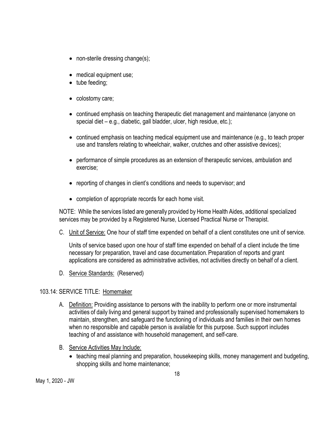- non-sterile dressing change(s);
- medical equipment use;
- tube feeding;
- colostomy care;
- continued emphasis on teaching therapeutic diet management and maintenance (anyone on special diet – e.g., diabetic, gall bladder, ulcer, high residue, etc.);
- continued emphasis on teaching medical equipment use and maintenance (e.g., to teach proper use and transfers relating to wheelchair, walker, crutches and other assistive devices);
- performance of simple procedures as an extension of therapeutic services, ambulation and exercise;
- reporting of changes in client's conditions and needs to supervisor; and
- completion of appropriate records for each home visit.

NOTE: While the services listed are generally provided by Home Health Aides, additional specialized services may be provided by a Registered Nurse, Licensed Practical Nurse or Therapist.

C. Unit of Service: One hour of staff time expended on behalf of a client constitutes one unit of service.

Units of service based upon one hour of staff time expended on behalf of a client include the time necessary for preparation, travel and case documentation.Preparation of reports and grant applications are considered as administrative activities, not activities directly on behalf of a client.

D. Service Standards: (Reserved)

#### 103.14: SERVICE TITLE: Homemaker

- A. Definition: Providing assistance to persons with the inability to perform one or more instrumental activities of daily living and general support by trained and professionally supervised homemakers to maintain, strengthen, and safeguard the functioning of individuals and families in their own homes when no responsible and capable person is available for this purpose. Such support includes teaching of and assistance with household management, and self-care.
- B. Service Activities May Include:
	- teaching meal planning and preparation, housekeeping skills, money management and budgeting, shopping skills and home maintenance;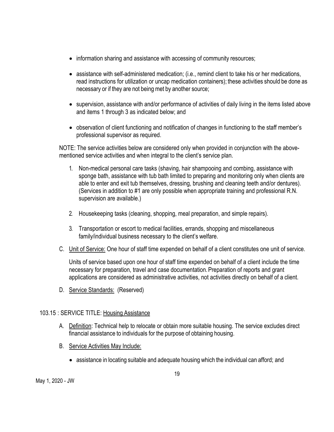- information sharing and assistance with accessing of community resources;
- assistance with self-administered medication; (i.e., remind client to take his or her medications, read instructions for utilization or uncap medication containers); these activities should be done as necessary or if they are not being met by another source;
- supervision, assistance with and/or performance of activities of daily living in the items listed above and items 1 through 3 as indicated below; and
- observation of client functioning and notification of changes in functioning to the staff member's professional supervisor as required.

NOTE: The service activities below are considered only when provided in conjunction with the abovementioned service activities and when integral to the client's service plan.

- 1. Non-medical personal care tasks (shaving, hair shampooing and combing, assistance with sponge bath, assistance with tub bath limited to preparing and monitoring only when clients are able to enter and exit tub themselves, dressing, brushing and cleaning teeth and/or dentures). (Services in addition to #1 are only possible when appropriate training and professional R.N. supervision are available.)
- 2. Housekeeping tasks (cleaning, shopping, meal preparation, and simple repairs).
- 3. Transportation or escort to medical facilities, errands, shopping and miscellaneous family/individual business necessary to the client's welfare.
- C. Unit of Service: One hour of staff time expended on behalf of a client constitutes one unit of service.

Units of service based upon one hour of staff time expended on behalf of a client include the time necessary for preparation, travel and case documentation.Preparation of reports and grant applications are considered as administrative activities, not activities directly on behalf of a client.

D. Service Standards: (Reserved)

#### 103.15 : SERVICE TITLE: Housing Assistance

- A. Definition: Technical help to relocate or obtain more suitable housing. The service excludes direct financial assistance to individuals for the purpose of obtaining housing.
- B. Service Activities May Include:
	- assistance in locating suitable and adequate housing which the individual can afford; and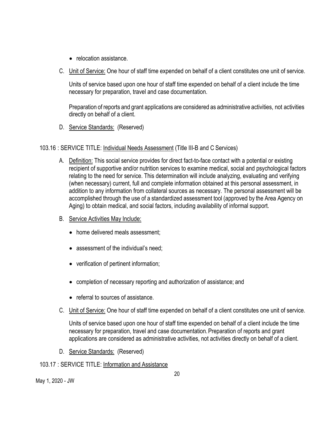- relocation assistance.
- C. Unit of Service: One hour of staff time expended on behalf of a client constitutes one unit of service.

Units of service based upon one hour of staff time expended on behalf of a client include the time necessary for preparation, travel and case documentation.

Preparation of reports and grant applications are considered as administrative activities, not activities directly on behalf of a client.

D. Service Standards: (Reserved)

#### 103.16 : SERVICE TITLE: Individual Needs Assessment (Title III-B and C Services)

- A. Definition: This social service provides for direct fact-to-face contact with a potential or existing recipient of supportive and/or nutrition services to examine medical, social and psychological factors relating to the need for service. This determination will include analyzing, evaluating and verifying (when necessary) current, full and complete information obtained at this personal assessment, in addition to any information from collateral sources as necessary. The personal assessment will be accomplished through the use of a standardized assessment tool (approved by the Area Agency on Aging) to obtain medical, and social factors, including availability of informal support.
- B. Service Activities May Include:
	- home delivered meals assessment:
	- assessment of the individual's need:
	- verification of pertinent information;
	- completion of necessary reporting and authorization of assistance; and
	- referral to sources of assistance.
- C. Unit of Service: One hour of staff time expended on behalf of a client constitutes one unit of service.

Units of service based upon one hour of staff time expended on behalf of a client include the time necessary for preparation, travel and case documentation.Preparation of reports and grant applications are considered as administrative activities, not activities directly on behalf of a client.

D. Service Standards: (Reserved)

#### 103.17 : SERVICE TITLE: Information and Assistance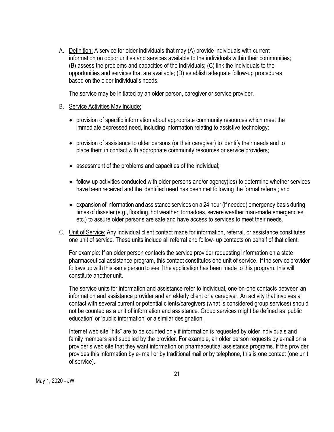A. Definition: A service for older individuals that may (A) provide individuals with current information on opportunities and services available to the individuals within their communities; (B) assess the problems and capacities of the individuals; (C) link the individuals to the opportunities and services that are available; (D) establish adequate follow-up procedures based on the older individual's needs.

The service may be initiated by an older person, caregiver or service provider.

#### B. Service Activities May Include:

- provision of specific information about appropriate community resources which meet the immediate expressed need, including information relating to assistive technology;
- provision of assistance to older persons (or their caregiver) to identify their needs and to place them in contact with appropriate community resources or service providers;
- assessment of the problems and capacities of the individual;
- follow-up activities conducted with older persons and/or agency(ies) to determine whether services have been received and the identified need has been met following the formal referral; and
- expansion of information and assistance services on a 24 hour (if needed) emergency basis during times of disaster (e.g., flooding, hot weather, tornadoes, severe weather man-made emergencies, etc.) to assure older persons are safe and have access to services to meet their needs.
- C. Unit of Service: Any individual client contact made for information, referral, or assistance constitutes one unit of service. These units include all referral and follow- up contacts on behalf of that client.

For example: If an older person contacts the service provider requesting information on a state pharmaceutical assistance program, this contact constitutes one unit of service. If the service provider follows up with this same person to see if the application has been made to this program, this will constitute another unit.

The service units for information and assistance refer to individual, one-on-one contacts between an information and assistance provider and an elderly client or a caregiver. An activity that involves a contact with several current or potential clients/caregivers (what is considered group services) should not be counted as a unit of information and assistance. Group services might be defined as 'public education' or 'public information' or a similar designation.

Internet web site "hits" are to be counted only if information is requested by older individuals and family members and supplied by the provider. For example, an older person requests by e-mail on a provider's web site that they want information on pharmaceutical assistance programs. If the provider provides this information by e- mail or by traditional mail or by telephone, this is one contact (one unit of service).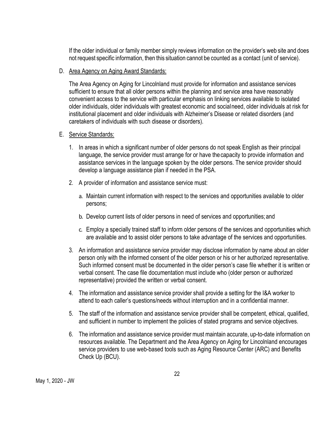If the older individual or family member simply reviews information on the provider's web site and does not request specific information, then this situation cannot be counted as a contact (unit of service).

D. Area Agency on Aging Award Standards:

The Area Agency on Aging for Lincolnland must provide for information and assistance services sufficient to ensure that all older persons within the planning and service area have reasonably convenient access to the service with particular emphasis on linking services available to isolated older individuals, older individuals with greatest economic and socialneed, older individuals at risk for institutional placement and older individuals with Alzheimer's Disease or related disorders (and caretakers of individuals with such disease or disorders).

- E. Service Standards:
	- 1. In areas in which a significant number of older persons do not speak English as their principal language, the service provider must arrange for or have thecapacity to provide information and assistance services in the language spoken by the older persons. The service provider should develop a language assistance plan if needed in the PSA.
	- 2. A provider of information and assistance service must:
		- a. Maintain current information with respect to the services and opportunities available to older persons;
		- b. Develop current lists of older persons in need of services and opportunities;and
		- c. Employ a specially trained staff to inform older persons of the services and opportunities which are available and to assist older persons to take advantage of the services and opportunities.
	- 3. An information and assistance service provider may disclose information by name about an older person only with the informed consent of the older person or his or her authorized representative. Such informed consent must be documented in the older person's case file whether it is written or verbal consent. The case file documentation must include who (older person or authorized representative) provided the written or verbal consent.
	- 4. The information and assistance service provider shall provide a setting for the I&A worker to attend to each caller's questions/needs without interruption and in a confidential manner.
	- 5. The staff of the information and assistance service provider shall be competent, ethical, qualified, and sufficient in number to implement the policies of stated programs and service objectives.
	- 6. The information and assistance service provider must maintain accurate, up-to-date information on resources available. The Department and the Area Agency on Aging for Lincolnland encourages service providers to use web-based tools such as Aging Resource Center (ARC) and Benefits Check Up (BCU).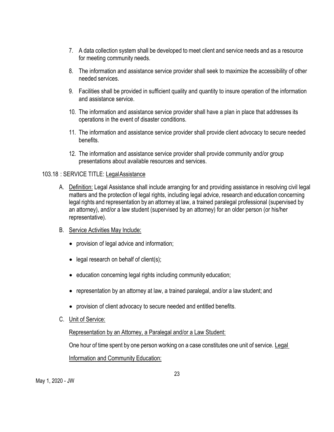- 7. A data collection system shall be developed to meet client and service needs and as a resource for meeting community needs.
- 8. The information and assistance service provider shall seek to maximize the accessibility of other needed services.
- 9. Facilities shall be provided in sufficient quality and quantity to insure operation of the information and assistance service.
- 10. The information and assistance service provider shall have a plan in place that addresses its operations in the event of disaster conditions.
- 11. The information and assistance service provider shall provide client advocacy to secure needed benefits.
- 12. The information and assistance service provider shall provide community and/or group presentations about available resources and services.

#### 103.18 : SERVICE TITLE: LegalAssistance

- A. Definition: Legal Assistance shall include arranging for and providing assistance in resolving civil legal matters and the protection of legal rights, including legal advice, research and education concerning legal rights and representation by an attorney at law, a trained paralegal professional (supervised by an attorney), and/or a law student (supervised by an attorney) for an older person (or his/her representative).
- B. Service Activities May Include:
	- provision of legal advice and information;
	- legal research on behalf of client(s);
	- education concerning legal rights including community education;
	- representation by an attorney at law, a trained paralegal, and/or a law student; and
	- provision of client advocacy to secure needed and entitled benefits.
- C. Unit of Service:

#### Representation by an Attorney, a Paralegal and/or a Law Student:

One hour of time spent by one person working on a case constitutes one unit of service. Legal

Information and Community Education: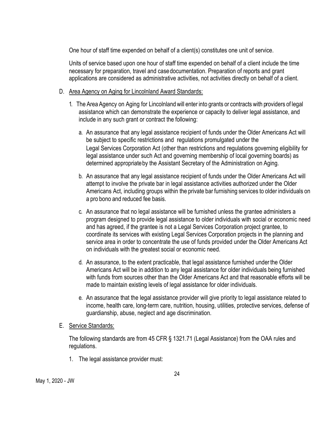One hour of staff time expended on behalf of a client(s) constitutes one unit of service.

Units of service based upon one hour of staff time expended on behalf of a client include the time necessary for preparation, travel and casedocumentation. Preparation of reports and grant applications are considered as administrative activities, not activities directly on behalf of a client.

#### D. Area Agency on Aging for Lincolnland Award Standards:

- 1. The Area Agency on Aging for Lincolnlandwill enter into grants or contracts with providers of legal assistance which can demonstrate the experience or capacity to deliver legal assistance, and include in any such grant or contract the following:
	- a. An assurance that any legal assistance recipient of funds under the Older Americans Act will be subject to specific restrictions and regulations promulgated under the Legal Services Corporation Act (other than restrictions and regulations governing eligibility for legal assistance under such Act and governing membership of local governing boards) as determined appropriateby the Assistant Secretary of the Administration on Aging.
	- b. An assurance that any legal assistance recipient of funds under the Older Americans Act will attempt to involve the private bar in legal assistance activities authorized under the Older Americans Act, including groups within the private bar furnishing services to older individuals on a pro bono and reduced fee basis.
	- c. An assurance that no legal assistance will be furnished unless the grantee administers a program designed to provide legal assistance to older individuals with social or economic need and has agreed, if the grantee is not a Legal Services Corporation project grantee, to coordinate its services with existing Legal Services Corporation projects in the planning and service area in order to concentrate the use of funds provided under the Older Americans Act on individuals with the greatest social or economic need.
	- d. An assurance, to the extent practicable, that legal assistance furnished under the Older Americans Act will be in addition to any legal assistance for older individuals being furnished with funds from sources other than the Older Americans Act and that reasonable efforts will be made to maintain existing levels of legal assistance for older individuals.
	- e. An assurance that the legal assistance provider will give priority to legal assistance related to income, health care, long-term care, nutrition, housing, utilities, protective services, defense of guardianship, abuse, neglect and age discrimination.

#### E. Service Standards:

The following standards are from 45 CFR § 1321.71 (Legal Assistance) from the OAA rules and regulations.

1. The legal assistance provider must: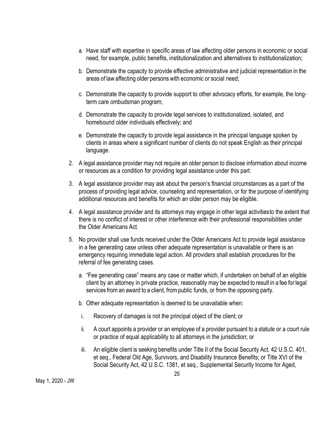- a. Have staff with expertise in specific areas of law affecting older persons in economic or social need, for example, public benefits, institutionalization and alternatives to institutionalization;
- b. Demonstrate the capacity to provide effective administrative and judicial representation in the areas of law affecting older persons with economic or social need;
- c. Demonstrate the capacity to provide support to other advocacy efforts, for example, the longterm care ombudsman program;
- d. Demonstrate the capacity to provide legal services to institutionalized, isolated, and homebound older individuals effectively; and
- e. Demonstrate the capacity to provide legal assistance in the principal language spoken by clients in areas where a significant number of clients do not speak English as their principal language.
- 2. A legal assistance provider may not require an older person to disclose information about income or resources as a condition for providing legal assistance under this part.
- 3. A legal assistance provider may ask about the person's financial circumstances as a part of the process of providing legal advice, counseling and representation, or for the purpose of identifying additional resources and benefits for which an older person may be eligible.
- 4. A legal assistance provider and its attorneys may engage in other legal activitiesto the extent that there is no conflict of interest or other interference with their professional responsibilities under the Older Americans Act.
- 5. No provider shall use funds received under the Older Americans Act to provide legal assistance in a fee generating case unless other adequate representation is unavailable or there is an emergency requiring immediate legal action. All providers shall establish procedures for the referral of fee generating cases.
	- a. "Fee generating case" means any case or matter which, if undertaken on behalf of an eligible client by an attorney in private practice, reasonably may be expected to result in a fee for legal services from an award to a client, from public funds, or from the opposing party.
	- b. Other adequate representation is deemed to be unavailable when:
	- i. Recovery of damages is not the principal object of the client; or
	- ii. A court appoints a provider or an employee of a provider pursuant to a statute or a court rule or practice of equal applicability to all attorneys in the jurisdiction; or
	- iii. An eligible client is seeking benefits under Title II of the Social Security Act, 42 U.S.C. 401, et seq., Federal Old Age, Survivors, and Disability Insurance Benefits; or Title XVI of the Social Security Act, 42 U.S.C. 1381, et seq., Supplemental Security Income for Aged,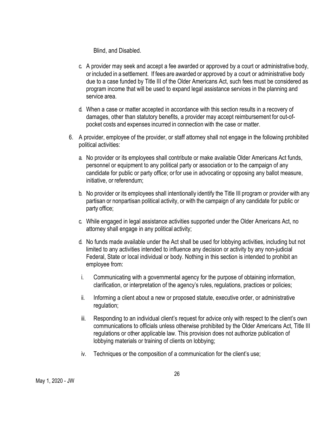Blind, and Disabled.

- c. A provider may seek and accept a fee awarded or approved by a court or administrative body, or included in a settlement. If fees are awarded or approved by a court or administrative body due to a case funded by Title III of the Older Americans Act, such fees must be considered as program income that will be used to expand legal assistance services in the planning and service area.
- d. When a case or matter accepted in accordance with this section results in a recovery of damages, other than statutory benefits, a provider may accept reimbursement for out-ofpocket costs and expenses incurred in connection with the case or matter.
- 6. A provider, employee of the provider, or staff attorney shall not engage in the following prohibited political activities:
	- a. No provider or its employees shall contribute or make available Older Americans Act funds, personnel or equipment to any political party or association or to the campaign of any candidate for public or party office; or for use in advocating or opposing any ballot measure, initiative, or referendum;
	- b. No provider or its employees shall intentionally identify the Title III program or provider with any partisan or nonpartisan political activity, or with the campaign of any candidate for public or party office;
	- c. While engaged in legal assistance activities supported under the Older Americans Act, no attorney shall engage in any political activity;
	- d. No funds made available under the Act shall be used for lobbying activities, including but not limited to any activities intended to influence any decision or activity by any non-judicial Federal, State or local individual or body. Nothing in this section is intended to prohibit an employee from:
	- i. Communicating with a governmental agency for the purpose of obtaining information, clarification, or interpretation of the agency's rules, regulations, practices or policies;
	- ii. Informing a client about a new or proposed statute, executive order, or administrative regulation;
	- iii. Responding to an individual client's request for advice only with respect to the client's own communications to officials unless otherwise prohibited by the Older Americans Act, Title III regulations or other applicable law. This provision does not authorize publication of lobbying materials or training of clients on lobbying;
	- iv. Techniques or the composition of a communication for the client's use;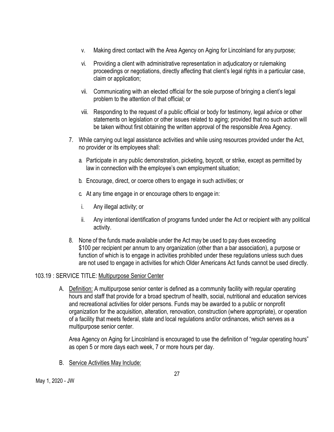- v. Making direct contact with the Area Agency on Aging for Lincolnland for any purpose;
- vi. Providing a client with administrative representation in adjudicatory or rulemaking proceedings or negotiations, directly affecting that client's legal rights in a particular case, claim or application;
- vii. Communicating with an elected official for the sole purpose of bringing a client's legal problem to the attention of that official; or
- viii. Responding to the request of a public official or body for testimony, legal advice or other statements on legislation or other issues related to aging; provided that no such action will be taken without first obtaining the written approval of the responsible Area Agency.
- 7. While carrying out legal assistance activities and while using resources provided under the Act, no provider or its employees shall:
	- a. Participate in any public demonstration, picketing, boycott, or strike, except as permitted by law in connection with the employee's own employment situation;
	- b. Encourage, direct, or coerce others to engage in such activities; or
	- c. At any time engage in or encourage others to engage in:
	- i. Any illegal activity; or
	- ii. Any intentional identification of programs funded under the Act or recipient with any political activity.
- 8. None of the funds made available under the Act may be used to pay dues exceeding \$100 per recipient per annum to any organization (other than a bar association), a purpose or function of which is to engage in activities prohibited under these regulations unless such dues are not used to engage in activities for which Older Americans Act funds cannot be used directly.

#### 103.19 : SERVICE TITLE: Multipurpose Senior Center

A. Definition: A multipurpose senior center is defined as a community facility with regular operating hours and staff that provide for a broad spectrum of health, social, nutritional and education services and recreational activities for older persons. Funds may be awarded to a public or nonprofit organization for the acquisition, alteration, renovation, construction (where appropriate), or operation of a facility that meets federal, state and local regulations and/or ordinances, which serves as a multipurpose senior center.

Area Agency on Aging for Lincolnland is encouraged to use the definition of "regular operating hours" as open 5 or more days each week, 7 or more hours per day.

B. Service Activities May Include: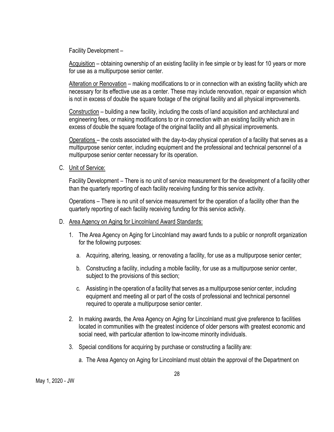Facility Development –

Acquisition – obtaining ownership of an existing facility in fee simple or by least for 10 years or more for use as a multipurpose senior center.

Alteration or Renovation – making modifications to or in connection with an existing facility which are necessary for its effective use as a center. These may include renovation, repair or expansion which is not in excess of double the square footage of the original facility and all physical improvements.

Construction – building a new facility, including the costs of land acquisition and architectural and engineering fees, or making modifications to or in connection with an existing facility which are in excess of double the square footage of the original facility and all physical improvements.

Operations – the costs associated with the day-to-day physical operation of a facility that serves as a multipurpose senior center, including equipment and the professional and technical personnel of a multipurpose senior center necessary for its operation.

C. Unit of Service:

Facility Development – There is no unit of service measurement for the development of a facility other than the quarterly reporting of each facility receiving funding for this service activity.

Operations – There is no unit of service measurement for the operation of a facility other than the quarterly reporting of each facility receiving funding for this service activity.

- D. Area Agency on Aging for Lincolnland Award Standards:
	- 1. The Area Agency on Aging for Lincolnland may award funds to a public or nonprofit organization for the following purposes:
		- a. Acquiring, altering, leasing, or renovating a facility, for use as a multipurpose senior center;
		- b. Constructing a facility, including a mobile facility, for use as a multipurpose senior center, subject to the provisions of this section;
		- c. Assisting in the operation of a facility that serves as amultipurpose senior center, including equipment and meeting all or part of the costs of professional and technical personnel required to operate a multipurpose senior center.
	- 2. In making awards, the Area Agency on Aging for Lincolnland must give preference to facilities located in communities with the greatest incidence of older persons with greatest economic and social need, with particular attention to low-income minority individuals.
	- 3. Special conditions for acquiring by purchase or constructing a facility are:
		- a. The Area Agency on Aging for Lincolnland must obtain the approval of the Department on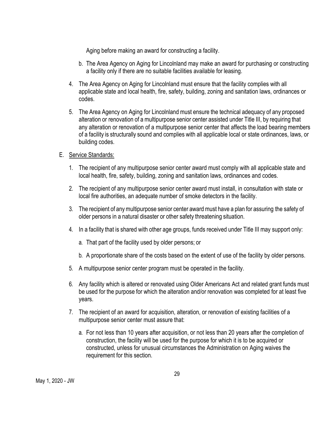Aging before making an award for constructing a facility.

- b. The Area Agency on Aging for Lincolnland may make an award for purchasing or constructing a facility only if there are no suitable facilities available for leasing.
- 4. The Area Agency on Aging for Lincolnland must ensure that the facility complies with all applicable state and local health, fire, safety, building, zoning and sanitation laws, ordinances or codes.
- 5. The Area Agency on Aging for Lincolnland must ensure the technical adequacy of any proposed alteration or renovation of a multipurpose senior center assisted under Title III, by requiring that any alteration or renovation of a multipurpose senior center that affects the load bearing members of a facility is structurally sound and complies with all applicable local or state ordinances, laws, or building codes.
- E. Service Standards:
	- 1. The recipient of any multipurpose senior center award must comply with all applicable state and local health, fire, safety, building, zoning and sanitation laws, ordinances and codes.
	- 2. The recipient of any multipurpose senior center award must install, in consultation with state or local fire authorities, an adequate number of smoke detectors in the facility.
	- 3. The recipient of any multipurpose senior center award must have a plan for assuring the safety of older persons in a natural disaster or other safety threatening situation.
	- 4. In a facility that is shared with other age groups, funds received under Title III may support only:
		- a. That part of the facility used by older persons; or
		- b. A proportionate share of the costs based on the extent of use of the facility by older persons.
	- 5. A multipurpose senior center program must be operated in the facility.
	- 6. Any facility which is altered or renovated using Older Americans Act and related grant funds must be used for the purpose for which the alteration and/or renovation was completed for at least five years.
	- 7. The recipient of an award for acquisition, alteration, or renovation of existing facilities of a multipurpose senior center must assure that:
		- a. For not less than 10 years after acquisition, or not less than 20 years after the completion of construction, the facility will be used for the purpose for which it is to be acquired or constructed, unless for unusual circumstances the Administration on Aging waives the requirement for this section.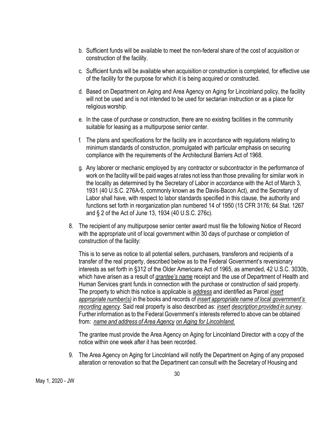- b. Sufficient funds will be available to meet the non-federal share of the cost of acquisition or construction of the facility.
- c. Sufficient funds will be available when acquisition or construction is completed, for effective use of the facility for the purpose for which it is being acquired or constructed.
- d. Based on Department on Aging and Area Agency on Aging for Lincolnland policy, the facility will not be used and is not intended to be used for sectarian instruction or as a place for religious worship.
- e. In the case of purchase or construction, there are no existing facilities in the community suitable for leasing as a multipurpose senior center.
- f. The plans and specifications for the facility are in accordance with regulations relating to minimum standards of construction, promulgated with particular emphasis on securing compliance with the requirements of the Architectural Barriers Act of 1968.
- g. Any laborer or mechanic employed by any contractor or subcontractor in the performance of work on the facility will be paid wages at rates not less than those prevailing for similar work in the locality as determined by the Secretary of Labor in accordance with the Act of March 3, 1931 (40 U.S.C. 276A-5, commonly known as the Davis-Bacon Act), and the Secretary of Labor shall have, with respect to labor standards specified in this clause, the authority and functions set forth in reorganization plan numbered 14 of 1950 (15 CFR 3176; 64 Stat. 1267 and § 2 of the Act of June 13, 1934 (40 U.S.C. 276c).
- 8. The recipient of any multipurpose senior center award must file the following Notice of Record with the appropriate unit of local government within 30 days of purchase or completion of construction of the facility:

This is to serve as notice to all potential sellers, purchasers, transferors and recipients of a transfer of the real property, described below as to the Federal Government's reversionary interests as set forth in §312 of the Older Americans Act of 1965, as amended, 42 U.S.C. 3030b, which have arisen as a result of *grantee's name* receipt and the use of Department of Health and Human Services grant funds in connection with the purchase or construction of said property. The property to which this notice is applicable is *address* and identified as Parcel *insert appropriate number(s)* in the books and records of *insert appropriate name of local government's recording agency*. Said real property is also described as: *insert description provided in survey*. Further information as to the Federal Government's interests referred to above can be obtained from: *name and address of Area Agency on Aging for Lincolnland.*

The grantee must provide the Area Agency on Aging for Lincolnland Director with a copy of the notice within one week after it has been recorded.

9. The Area Agency on Aging for Lincolnland will notify the Department on Aging of any proposed alteration or renovation so that the Department can consult with the Secretary of Housing and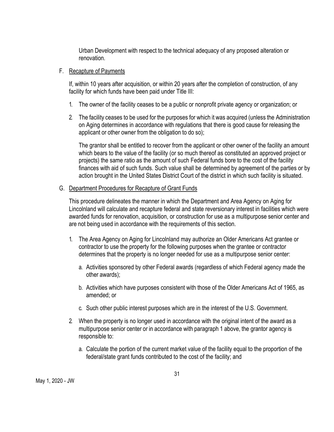Urban Development with respect to the technical adequacy of any proposed alteration or renovation.

#### F. Recapture of Payments

If, within 10 years after acquisition, or within 20 years after the completion of construction, of any facility for which funds have been paid under Title III:

- 1. The owner of the facility ceases to be a public or nonprofit private agency or organization; or
- 2. The facility ceases to be used for the purposes for which it was acquired (unless the Administration on Aging determines in accordance with regulations that there is good cause for releasing the applicant or other owner from the obligation to do so);

The grantor shall be entitled to recover from the applicant or other owner of the facility an amount which bears to the value of the facility (or so much thereof as constituted an approved project or projects) the same ratio as the amount of such Federal funds bore to the cost of the facility finances with aid of such funds. Such value shall be determined by agreement of the parties or by action brought in the United States District Court of the district in which such facility is situated.

#### G. Department Procedures for Recapture of Grant Funds

This procedure delineates the manner in which the Department and Area Agency on Aging for Lincolnland will calculate and recapture federal and state reversionary interest in facilities which were awarded funds for renovation, acquisition, or construction for use as a multipurpose senior center and are not being used in accordance with the requirements of this section.

- 1. The Area Agency on Aging for Lincolnland may authorize an Older Americans Act grantee or contractor to use the property for the following purposes when the grantee or contractor determines that the property is no longer needed for use as a multipurpose senior center:
	- a. Activities sponsored by other Federal awards (regardless of which Federal agency made the other awards);
	- b. Activities which have purposes consistent with those of the Older Americans Act of 1965, as amended; or
	- c. Such other public interest purposes which are in the interest of the U.S. Government.
- 2. When the property is no longer used in accordance with the original intent of the award as a multipurpose senior center or in accordance with paragraph 1 above, the grantor agency is responsible to:
	- a. Calculate the portion of the current market value of the facility equal to the proportion of the federal/state grant funds contributed to the cost of the facility; and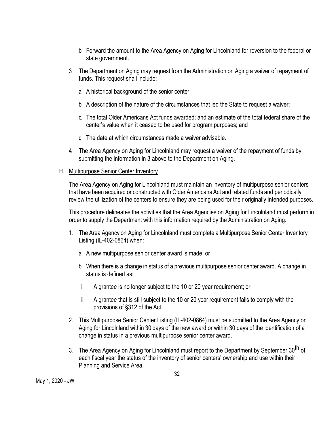- b. Forward the amount to the Area Agency on Aging for Lincolnland for reversion to the federal or state government.
- 3. The Department on Aging may request from the Administration on Aging a waiver of repayment of funds. This request shall include:
	- a. A historical background of the senior center;
	- b. A description of the nature of the circumstances that led the State to request a waiver;
	- c. The total Older Americans Act funds awarded; and an estimate of the total federal share of the center's value when it ceased to be used for program purposes; and
	- d. The date at which circumstances made a waiver advisable.
- 4. The Area Agency on Aging for Lincolnland may request a waiver of the repayment of funds by submitting the information in 3 above to the Department on Aging.
- H. Multipurpose Senior Center Inventory

The Area Agency on Aging for Lincolnland must maintain an inventory of multipurpose senior centers that have been acquired or constructed with Older Americans Act and related funds and periodically review the utilization of the centers to ensure they are being used for their originally intended purposes.

This procedure delineates the activities that the Area Agencies on Aging for Lincolnland must perform in order to supply the Department with this information required by the Administration on Aging.

- 1. The Area Agency on Aging for Lincolnland must complete a Multipurpose Senior Center Inventory Listing (IL-402-0864) when:
	- a. A new multipurpose senior center award is made: or
	- b. When there is a change in status of a previous multipurpose senior center award. A change in status is defined as:
	- i. A grantee is no longer subject to the 10 or 20 year requirement; or
	- ii. A grantee that is still subject to the 10 or 20 year requirement fails to comply with the provisions of §312 of the Act.
- 2. This Multipurpose Senior Center Listing (IL-402-0864) must be submitted to the Area Agency on Aging for Lincolnland within 30 days of the new award or within 30 days of the identification of a change in status in a previous multipurpose senior center award.
- 3. The Area Agency on Aging for Lincolnland must report to the Department by September 30<sup>th</sup> of each fiscal year the status of the inventory of senior centers' ownership and use within their Planning and Service Area.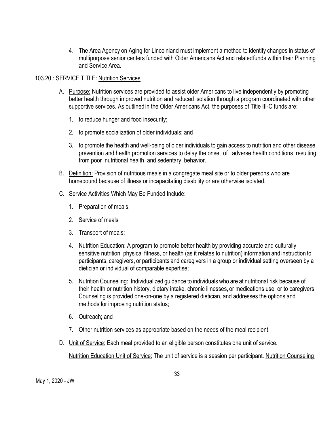4. The Area Agency on Aging for Lincolnland must implement a method to identify changes in status of multipurpose senior centers funded with Older Americans Act and relatedfunds within their Planning and Service Area.

#### 103.20 : SERVICE TITLE: Nutrition Services

- A. Purpose: Nutrition services are provided to assist older Americans to live independently by promoting better health through improved nutrition and reduced isolation through a program coordinated with other supportive services. As outlined in the Older Americans Act, the purposes of Title III-C funds are:
	- 1. to reduce hunger and food insecurity;
	- 2. to promote socialization of older individuals; and
	- 3. to promote the health and well-being of older individuals to gain access to nutrition and other disease prevention and health promotion services to delay the onset of adverse health conditions resulting from poor nutritional health and sedentary behavior.
- B. Definition: Provision of nutritious meals in a congregate meal site or to older persons who are homebound because of illness or incapacitating disability or are otherwise isolated.

#### C. Service Activities Which May Be Funded Include:

- 1. Preparation of meals;
- 2. Service of meals
- 3. Transport of meals;
- 4. Nutrition Education: A program to promote better health by providing accurate and culturally sensitive nutrition, physical fitness, or health (as it relates to nutrition) information and instruction to participants, caregivers, or participants and caregivers in a group or individual setting overseen by a dietician or individual of comparable expertise;
- 5. Nutrition Counseling: Individualized guidance to individuals who are at nutritional risk because of their health or nutrition history, dietary intake, chronic illnesses, or medications use, or to caregivers. Counseling is provided one-on-one by a registered dietician, and addresses the options and methods for improving nutrition status;
- 6. Outreach; and
- 7. Other nutrition services as appropriate based on the needs of the meal recipient.
- D. Unit of Service: Each meal provided to an eligible person constitutes one unit of service.

Nutrition Education Unit of Service: The unit of service is a session per participant. Nutrition Counseling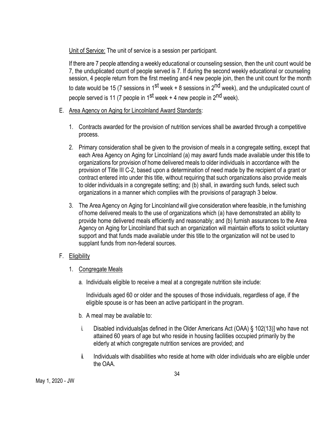Unit of Service: The unit of service is a session per participant.

If there are 7 people attending a weekly educational or counseling session, then the unit count would be 7, the unduplicated count of people served is 7. If during the second weekly educational or counseling session, 4 people return from the first meeting and 4 new people join, then the unit count for the month to date would be 15 (7 sessions in 1<sup>st</sup> week + 8 sessions in 2<sup>nd</sup> week), and the unduplicated count of people served is 11 (7 people in  $1^{st}$  week + 4 new people in  $2^{nd}$  week).

- E. Area Agency on Aging for Lincolnland Award Standards:
	- 1. Contracts awarded for the provision of nutrition services shall be awarded through a competitive process.
	- 2. Primary consideration shall be given to the provision of meals in a congregate setting, except that each Area Agency on Aging for Lincolnland (a) may award funds made available under this title to organizations for provision of home delivered meals to older individuals in accordance with the provision of Title III C-2, based upon a determination of need made by the recipient of a grant or contract entered into under this title, without requiring that such organizations also provide meals to older individuals in a congregate setting; and (b) shall, in awarding such funds, select such organizations in a manner which complies with the provisions of paragraph 3 below.
	- 3. The Area Agency on Aging for Lincolnlandwill give consideration where feasible, in the furnishing of home delivered meals to the use of organizations which (a) have demonstrated an ability to provide home delivered meals efficiently and reasonably; and (b) furnish assurances to the Area Agency on Aging for Lincolnland that such an organization will maintain efforts to solicit voluntary support and that funds made available under this title to the organization will not be used to supplant funds from non-federal sources.
- F. Eligibility
	- 1. Congregate Meals
		- a. Individuals eligible to receive a meal at a congregate nutrition site include:

Individuals aged 60 or older and the spouses of those individuals, regardless of age, if the eligible spouse is or has been an active participant in the program.

- b. A meal may be available to:
- i. Disabled individuals[as defined in the Older Americans Act (OAA) § 102(13)] who have not attained 60 years of age but who reside in housing facilities occupied primarily by the elderly at which congregate nutrition services are provided; and
- ii. Individuals with disabilities who reside at home with older individuals who are eligible under the OAA.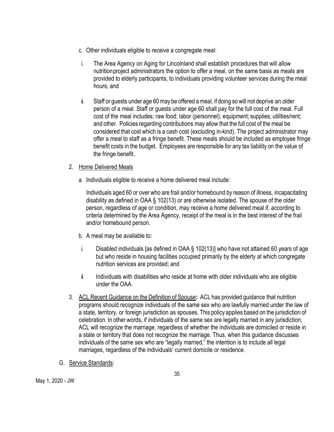- c. Other individuals eligible to receive a congregate meal:
- i. The Area Agency on Aging for Lincolnland shall establish procedures that will allow nutritionproject administrators the option to offer a meal, on the same basis as meals are provided to elderly participants, to individuals providing volunteer services during the meal hours; and
- ii. Staff or guests under age 60may be offered ameal, if doing so will not deprive an older person of a meal. Staff or guests under age 60 shall pay for the full cost of the meal. Full cost of the meal includes: raw food; labor (personnel); equipment; supplies; utilities/rent; and other. Policies regarding contributions may allow that the full cost of the meal be considered that cost which is a cash cost (excluding in-kind). The project administrator may offer a meal to staff as a fringe benefit. These meals should be included as employee fringe benefit costs in the budget. Employees are responsible for any tax liability on the value of the fringe benefit.

#### 2. Home Delivered Meals

a. Individuals eligible to receive a home delivered meal include:

Individuals aged 60 or over who are frail and/or homebound by reason of illness, incapacitating disability as defined in OAA § 102(13) or are otherwise isolated. The spouse of the older person, regardless of age or condition, may receive a home delivered meal if, according to criteria determined by the Area Agency, receipt of the meal is in the best interest of the frail and/or homebound person.

- b. A meal may be available to:
- i. Disabled individuals [as defined in OAA § 102(13)] who have not attained 60 years of age but who reside in housing facilities occupied primarily by the elderly at which congregate nutrition services are provided; and
- ii. Individuals with disabilities who reside at home with older individuals who are eligible under the OAA.
- 3. ACL Recent Guidance on the Definition of Spouse**:** ACL has provided guidance that nutrition programs should recognize individuals of the same sex who are lawfully married under the law of a state, territory, or foreign jurisdiction as spouses. This policy applies based on the jurisdiction of celebration. In other words, if individuals of the same sex are legally married in any jurisdiction, ACL will recognize the marriage, regardless of whether the individuals are domiciled or reside in a state or territory that does not recognize the marriage. Thus, when this guidance discusses individuals of the same sex who are "legally married," the intention is to include all legal marriages, regardless of the individuals' current domicile or residence.
- G. Service Standards: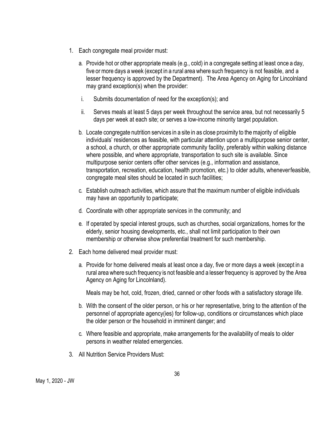- 1. Each congregate meal provider must:
	- a. Provide hot or other appropriate meals (e.g., cold) in a congregate setting at least once a day, five ormore days a week (except in a rural area where such frequency is not feasible, and a lesser frequency is approved by the Department). The Area Agency on Aging for Lincolnland may grand exception(s) when the provider:
	- i. Submits documentation of need for the exception(s); and
	- ii. Serves meals at least 5 days per week throughout the service area, but not necessarily 5 days per week at each site; or serves a low-income minority target population.
	- b. Locate congregate nutrition services in a site in as close proximity to themajority of eligible individuals' residences as feasible, with particular attention upon a multipurpose senior center, a school, a church, or other appropriate community facility, preferably within walking distance where possible, and where appropriate, transportation to such site is available. Since multipurpose senior centers offer other services (e.g., information and assistance, transportation, recreation, education, health promotion, etc.) to older adults, wheneverfeasible, congregate meal sites should be located in such facilities;
	- c. Establish outreach activities, which assure that the maximum number of eligible individuals may have an opportunity to participate;
	- d. Coordinate with other appropriate services in the community; and
	- e. If operated by special interest groups, such as churches, social organizations, homes for the elderly, senior housing developments, etc., shall not limit participation to their own membership or otherwise show preferential treatment for such membership.
- 2. Each home delivered meal provider must:
	- a. Provide for home delivered meals at least once a day, five or more days a week (except in a rural area where such frequency is not feasible and a lesser frequency is approved by the Area Agency on Aging for Lincolnland).

Meals may be hot, cold, frozen, dried, canned or other foods with a satisfactory storage life.

- b. With the consent of the older person, or his or her representative, bring to the attention of the personnel of appropriate agency(ies) for follow-up, conditions or circumstances which place the older person or the household in imminent danger; and
- c. Where feasible and appropriate, make arrangements for the availability of meals to older persons in weather related emergencies.
- 3. All Nutrition Service Providers Must: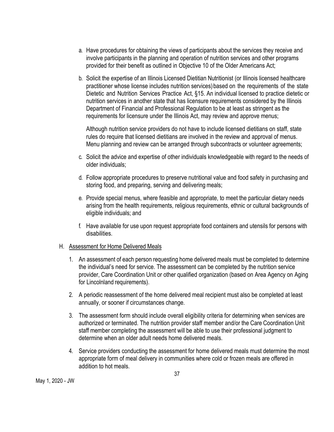- a. Have procedures for obtaining the views of participants about the services they receive and involve participants in the planning and operation of nutrition services and other programs provided for their benefit as outlined in Objective 10 of the Older Americans Act;
- b. Solicit the expertise of an Illinois Licensed Dietitian Nutritionist (or Illinois licensed healthcare practitioner whose license includes nutrition services)based on the requirements of the state Dietetic and Nutrition Services Practice Act, §15. An individual licensed to practice dietetic or nutrition services in another state that has licensure requirements considered by the Illinois Department of Financial and Professional Regulation to be at least as stringent as the requirements for licensure under the Illinois Act, may review and approve menus;

Although nutrition service providers do not have to include licensed dietitians on staff, state rules do require that licensed dietitians are involved in the review and approval of menus. Menu planning and review can be arranged through subcontracts or volunteer agreements;

- c. Solicit the advice and expertise of other individuals knowledgeable with regard to the needs of older individuals;
- d. Follow appropriate procedures to preserve nutritional value and food safety in purchasing and storing food, and preparing, serving and delivering meals;
- e. Provide special menus, where feasible and appropriate, to meet the particular dietary needs arising from the health requirements, religious requirements, ethnic or cultural backgrounds of eligible individuals; and
- f. Have available for use upon request appropriate food containers and utensils for persons with disabilities.

#### H. Assessment for Home Delivered Meals

- 1. An assessment of each person requesting home delivered meals must be completed to determine the individual's need for service. The assessment can be completed by the nutrition service provider, Care Coordination Unit or other qualified organization (based on Area Agency on Aging for Lincolnland requirements).
- 2. A periodic reassessment of the home delivered meal recipient must also be completed at least annually, or sooner if circumstances change.
- 3. The assessment form should include overall eligibility criteria for determining when services are authorized or terminated. The nutrition provider staff member and/or the Care Coordination Unit staff member completing the assessment will be able to use their professional judgment to determine when an older adult needs home delivered meals.
- 4. Service providers conducting the assessment for home delivered meals must determine the most appropriate form of meal delivery in communities where cold or frozen meals are offered in addition to hot meals.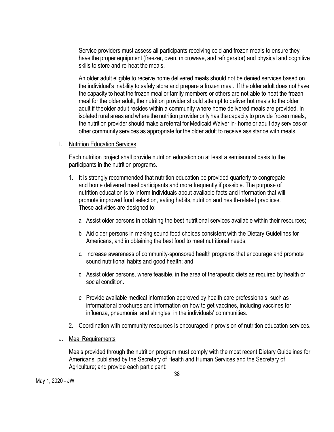Service providers must assess all participants receiving cold and frozen meals to ensure they have the proper equipment (freezer, oven, microwave, and refrigerator) and physical and cognitive skills to store and re-heat the meals.

An older adult eligible to receive home delivered meals should not be denied services based on the individual's inability to safely store and prepare a frozen meal. If the older adult does not have the capacity to heat the frozen meal or family members or others are not able to heat the frozen meal for the older adult, the nutrition provider should attempt to deliver hot meals to the older adult if theolder adult resides within a community where home delivered meals are provided. In isolated rural areas and where the nutrition provider only has the capacity to provide frozen meals, the nutrition provider should make a referral for Medicaid Waiver in- home or adult day services or other community services as appropriate for the older adult to receive assistance with meals.

#### I. Nutrition Education Services

Each nutrition project shall provide nutrition education on at least a semiannual basis to the participants in the nutrition programs.

- 1. It is strongly recommended that nutrition education be provided quarterly to congregate and home delivered meal participants and more frequently if possible. The purpose of nutrition education is to inform individuals about available facts and information that will promote improved food selection, eating habits, nutrition and health-related practices. These activities are designed to:
	- a. Assist older persons in obtaining the best nutritional services available within their resources;
	- b. Aid older persons in making sound food choices consistent with the Dietary Guidelines for Americans, and in obtaining the best food to meet nutritional needs;
	- c. Increase awareness of community-sponsored health programs that encourage and promote sound nutritional habits and good health; and
	- d. Assist older persons, where feasible, in the area of therapeutic diets as required by health or social condition.
	- e. Provide available medical information approved by health care professionals, such as informational brochures and information on how to get vaccines, including vaccines for influenza, pneumonia, and shingles, in the individuals' communities.
- 2. Coordination with community resources is encouraged in provision of nutrition education services.
- J. Meal Requirements

Meals provided through the nutrition program must comply with the most recent Dietary Guidelines for Americans, published by the Secretary of Health and Human Services and the Secretary of Agriculture; and provide each participant: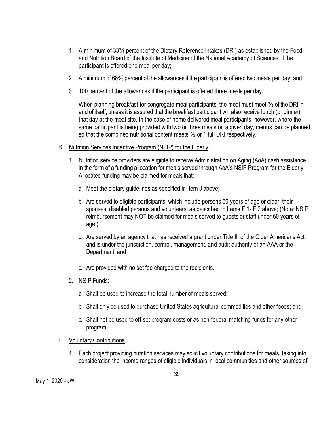- 1. A minimum of 33⅓ percent of the Dietary Reference Intakes (DRI) as established by the Food and Nutrition Board of the Institute of Medicine of the National Academy of Sciences, if the participant is offered one meal per day;
- 2. A minimumof 66⅔ percent of the allowances if the participant is offered two meals per day; and
- 3. 100 percent of the allowances if the participant is offered three meals per day.

When planning breakfast for congregate meal participants, the meal must meet ¼ of the DRI in and of itself, unless it is assured that the breakfast participant will also receive lunch (or dinner) that day at the meal site. In the case of home delivered meal participants; however, where the same participant is being provided with two or three meals on a given day, menus can be planned so that the combined nutritional content meets ⅔ or 1 full DRI respectively.

- K. Nutrition Services Incentive Program (NSIP) for the Elderly
	- 1. Nutrition service providers are eligible to receive Administration on Aging (AoA) cash assistance in the form of a funding allocation for meals served through AoA's NSIP Program for the Elderly. Allocated funding may be claimed for meals that:
		- a. Meet the dietary guidelines as specified in Item J above;
		- b. Are served to eligible participants, which include persons 60 years of age or older, their spouses, disabled persons and volunteers, as described in Items F.1- F.2 above; (Note: NSIP reimbursement may NOT be claimed for meals served to guests or staff under 60 years of age.)
		- c. Are served by an agency that has received a grant under Title III of the Older Americans Act and is under the jurisdiction, control, management, and audit authority of an AAA or the Department; and
		- d. Are provided with no set fee charged to the recipients.
	- 2. NSIP Funds:
		- a. Shall be used to increase the total number of meals served:
		- b. Shall only be used to purchase United States agricultural commodities and other foods; and
		- c. Shall not be used to off-set program costs or as non-federal matching funds for any other program.
- L. Voluntary Contributions
	- 1. Each project providing nutrition services may solicit voluntary contributions for meals, taking into consideration the income ranges of eligible individuals in local communities and other sources of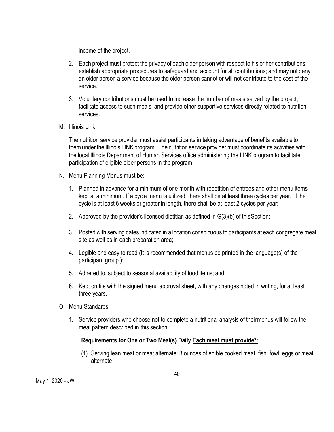income of the project.

- 2. Each project must protect the privacy of each older person with respect to his or her contributions; establish appropriate procedures to safeguard and account for all contributions; and may not deny an older person a service because the older person cannot or will not contribute to the cost of the service.
- 3. Voluntary contributions must be used to increase the number of meals served by the project, facilitate access to such meals, and provide other supportive services directly related to nutrition services.
- M. Illinois Link

The nutrition service provider must assist participants in taking advantage of benefits available to them under the Illinois LINK program. The nutrition service provider must coordinate its activities with the local Illinois Department of Human Services office administering the LINK program to facilitate participation of eligible older persons in the program.

- N. Menu Planning Menus must be:
	- 1. Planned in advance for a minimum of one month with repetition of entrees and other menu items kept at a minimum. If a cycle menu is utilized, there shall be at least three cycles per year. If the cycle is at least 6 weeks or greater in length, there shall be at least 2 cycles per year;
	- 2. Approved by the provider's licensed dietitian as defined in G(3)(b) of thisSection;
	- 3. Posted with serving dates indicated in a location conspicuous to participants at each congregate meal site as well as in each preparation area;
	- 4. Legible and easy to read (It is recommended that menus be printed in the language(s) of the participant group.);
	- 5. Adhered to, subject to seasonal availability of food items; and
	- 6. Kept on file with the signed menu approval sheet, with any changes noted in writing, for at least three years.
- O. Menu Standards
	- 1. Service providers who choose not to complete a nutritional analysis of theirmenus will follow the meal pattern described in this section.

## **Requirements for One or Two Meal(s) Daily Each meal must provide\*:**

(1) Serving lean meat or meat alternate: 3 ounces of edible cooked meat, fish, fowl, eggs or meat alternate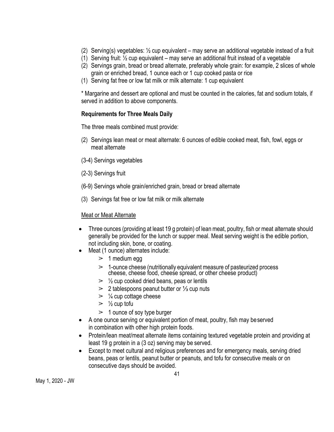- (2) Serving(s) vegetables: ½ cup equivalent may serve an additional vegetable instead of a fruit
- (1) Serving fruit:  $\frac{1}{2}$  cup equivalent may serve an additional fruit instead of a vegetable
- (2) Servings grain, bread or bread alternate, preferably whole grain: for example, 2 slices of whole grain or enriched bread, 1 ounce each or 1 cup cooked pasta or rice
- (1) Serving fat free or low fat milk or milk alternate: 1 cup equivalent

\* Margarine and dessert are optional and must be counted in the calories, fat and sodium totals, if served in addition to above components.

## **Requirements for Three Meals Daily**

The three meals combined must provide:

- (2) Servings lean meat or meat alternate: 6 ounces of edible cooked meat, fish, fowl, eggs or meat alternate
- (3-4) Servings vegetables
- (2-3) Servings fruit
- (6-9) Servings whole grain/enriched grain, bread or bread alternate
- (3) Servings fat free or low fat milk or milk alternate

#### Meat or Meat Alternate

- Three ounces (providing at least 19 g protein) of lean meat, poultry, fish or meat alternate should generally be provided for the lunch or supper meal. Meat serving weight is the edible portion, not including skin, bone, or coating.
	- Meat (1 ounce) alternates include:
		- $>1$  medium egg
		- ➢ 1-ounce cheese (nutritionally equivalent measure of pasteurized process cheese, cheese food, cheese spread, or other cheese product)
		- $\geq$   $\frac{1}{2}$  cup cooked dried beans, peas or lentils
		- ➢ 2 tablespoons peanut butter or ⅓ cup nuts
		- $\geq$   $\frac{1}{4}$  cup cottage cheese
		- $>$   $\frac{1}{2}$  cup tofu
		- $\geq 1$  ounce of soy type burger
- A one ounce serving or equivalent portion of meat, poultry, fish may beserved in combination with other high protein foods.
- Protein/lean meat/meat alternate items containing textured vegetable protein and providing at least 19 g protein in a (3 oz) serving may be served.
- Except to meet cultural and religious preferences and for emergency meals, serving dried beans, peas or lentils, peanut butter or peanuts, and tofu for consecutive meals or on consecutive days should be avoided.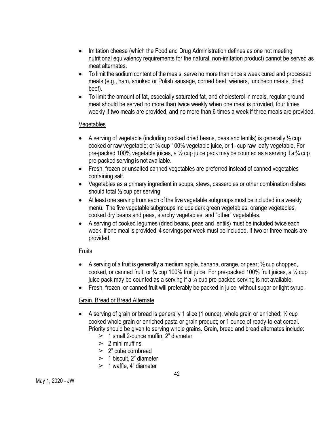- Imitation cheese (which the Food and Drug Administration defines as one not meeting nutritional equivalency requirements for the natural, non-imitation product) cannot be served as meat alternates.
- To limit the sodium content of the meals, serve no more than once a week cured and processed meats (e.g., ham, smoked or Polish sausage, corned beef, wieners, luncheon meats, dried beef).
- To limit the amount of fat, especially saturated fat, and cholesterol in meals, regular ground meat should be served no more than twice weekly when one meal is provided, four times weekly if two meals are provided, and no more than 6 times a week if three meals are provided.

## Vegetables

- A serving of vegetable (including cooked dried beans, peas and lentils) is generally  $\frac{1}{2}$  cup cooked or raw vegetable; or ¾ cup 100% vegetable juice, or 1- cup raw leafy vegetable. For pre-packed 100% vegetable juices, a  $\frac{1}{2}$  cup juice pack may be counted as a serving if a  $\frac{3}{4}$  cup pre-packed serving is not available.
- Fresh, frozen or unsalted canned vegetables are preferred instead of canned vegetables containing salt.
- Vegetables as a primary ingredient in soups, stews, casseroles or other combination dishes should total ½ cup per serving.
- At least one serving from each of the five vegetable subgroups must be included in a weekly menu. The five vegetable subgroups include dark green vegetables, orange vegetables, cooked dry beans and peas, starchy vegetables, and "other" vegetables.
- A serving of cooked legumes (dried beans, peas and lentils) must be included twice each week, if one meal is provided; 4 servings per week must be included, if two or three meals are provided.

# Fruits

- A serving of a fruit is generally a medium apple, banana, orange, or pear;  $\frac{1}{2}$  cup chopped, cooked, or canned fruit; or  $\frac{3}{4}$  cup 100% fruit juice. For pre-packed 100% fruit juices, a 1/2 cup juice pack may be counted as a serving if a  $\frac{3}{4}$  cup pre-packed serving is not available.
- Fresh, frozen, or canned fruit will preferably be packed in juice, without sugar or light syrup.

## Grain, Bread or Bread Alternate

- A serving of grain or bread is generally 1 slice (1 ounce), whole grain or enriched; ½ cup cooked whole grain or enriched pasta or grain product; or 1 ounce of ready-to-eat cereal. Priority should be given to serving whole grains. Grain, bread and bread alternates include:
	- $> 1$  small 2-ounce muffin, 2" diameter
	- $> 2$  mini muffins
	- $\geq$  2" cube cornbread
	- $>1$  biscuit, 2" diameter
	- $> 1$  waffle, 4" diameter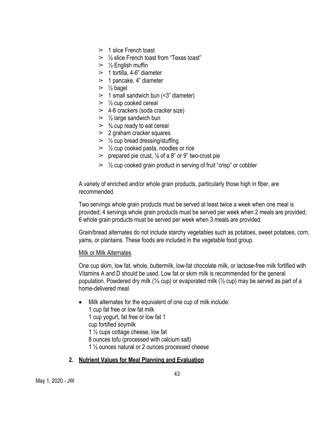- $> 1$  slice French toast
- $>$   $\frac{1}{2}$  slice French toast from "Texas toast"
- $>$  % English muffin
- $>1$  tortilla, 4-6" diameter
- $> 1$  pancake, 4" diameter
- $\geq \frac{1}{2}$  bagel
- $> 1$  small sandwich bun (<3" diameter)
- $\geq$   $\frac{1}{2}$  cup cooked cereal
- $\geq$  4-6 crackers (soda cracker size)
- $\geq$  1/2 large sandwich bun
- $\geq$   $\frac{3}{4}$  cup ready to eat cereal
- $\geq$  2 graham cracker squares
- $\geq$   $\frac{1}{2}$  cup bread dressing/stuffing
- $\geq$   $\frac{1}{2}$  cup cooked pasta, noodles or rice
- $\geq$  prepared pie crust,  $\frac{1}{8}$  of a 8" or 9" two-crust pie
- $\geq$   $\frac{1}{2}$  cup cooked grain product in serving of fruit "crisp" or cobbler

A variety of enriched and/or whole grain products, particularly those high in fiber, are recommended.

Two servings whole grain products must be served at least twice a week when one meal is provided; 4 servings whole grain products must be served per week when 2 meals are provided; 6 whole grain products must be served per week when 3 meals are provided.

Grain/bread alternates do not include starchy vegetables such as potatoes, sweet potatoes, corn, yams, or plantains. These foods are included in the vegetable food group.

#### **Milk or Milk Alternates**

One cup skim, low fat, whole, buttermilk, low-fat chocolate milk, or lactose-free milk fortified with Vitamins A and D should be used. Low fat or skim milk is recommended for the general population. Powdered dry milk (⅓ cup) or evaporated milk (½ cup) may be served as part of a home-delivered meal.

- Milk alternates for the equivalent of one cup of milk include: 1 cup fat free or low fat milk 1 cup yogurt, fat free or low fat 1 cup fortified soymilk 1  $\frac{1}{2}$  cups cottage cheese, low fat 8 ounces tofu (processed with calcium salt)
	- 1 ½ ounces natural or 2 ounces processed cheese

## **2. Nutrient Values for Meal Planning and Evaluation**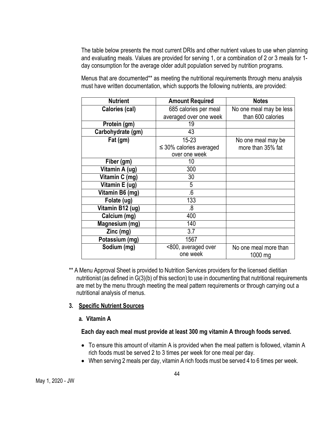The table below presents the most current DRIs and other nutrient values to use when planning and evaluating meals. Values are provided for serving 1, or a combination of 2 or 3 meals for 1 day consumption for the average older adult population served by nutrition programs.

Menus that are documented\*\* as meeting the nutritional requirements through menu analysis must have written documentation, which supports the following nutrients, are provided:

| <b>Nutrient</b>   | <b>Amount Required</b>          | <b>Notes</b>                     |  |  |
|-------------------|---------------------------------|----------------------------------|--|--|
| Calories (cal)    | 685 calories per meal           | No one meal may be less          |  |  |
|                   | averaged over one week          | than 600 calories                |  |  |
| Protein (gm)      | 19                              |                                  |  |  |
| Carbohydrate (gm) | 43                              |                                  |  |  |
| Fat (gm)          | 15-23                           | No one meal may be               |  |  |
|                   | $\leq$ 30% calories averaged    | more than 35% fat                |  |  |
|                   | over one week                   |                                  |  |  |
| Fiber (gm)        | 10                              |                                  |  |  |
| Vitamin A (ug)    | 300                             |                                  |  |  |
| Vitamin C (mg)    | 30                              |                                  |  |  |
| Vitamin E (ug)    | 5                               |                                  |  |  |
| Vitamin B6 (mg)   | 6.                              |                                  |  |  |
| Folate (ug)       | 133                             |                                  |  |  |
| Vitamin B12 (ug)  | .8                              |                                  |  |  |
| Calcium (mg)      | 400                             |                                  |  |  |
| Magnesium (mg)    | 140                             |                                  |  |  |
| Zinc (mg)         | 3.7                             |                                  |  |  |
| Potassium (mg)    | 1567                            |                                  |  |  |
| Sodium (mg)       | <800, averaged over<br>one week | No one meal more than<br>1000 mg |  |  |

\*\* A Menu Approval Sheet is provided to Nutrition Services providers for the licensed dietitian nutritionist (as defined in G(3)(b) of this section) to use in documenting that nutritional requirements are met by the menu through meeting the meal pattern requirements or through carrying out a nutritional analysis of menus.

## **3. Specific Nutrient Sources**

#### **a. Vitamin A**

#### **Each day each meal must provide at least 300 mg vitamin A through foods served.**

- To ensure this amount of vitamin A is provided when the meal pattern is followed, vitamin A rich foods must be served 2 to 3 times per week for one meal per day.
- When serving 2 meals per day, vitamin A rich foods must be served 4 to 6 times per week.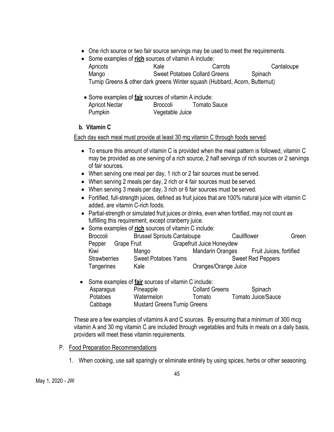- One rich source or two fair source servings may be used to meet the requirements.
- Some examples of **rich** sources of vitamin A include:

Apricots **Carrots** Carrots Carrots Cantaloupe Mango Sweet Potatoes Collard Greens Spinach Turnip Greens & other dark greens Winter squash (Hubbard, Acorn, Butternut)

• Some examples of **fair** sources of vitamin A include: Apricot Nectar Broccoli Tomato Sauce Pumpkin Vegetable Juice

## **b. Vitamin C**

Each day each meal must provide at least 30 mg vitamin C through foods served.

- To ensure this amount of vitamin C is provided when the meal pattern is followed, vitamin C may be provided as one serving of a rich source, 2 half servings of rich sources or 2 servings of fair sources.
- When serving one meal per day, 1 rich or 2 fair sources must be served.
- When serving 2 meals per day, 2 rich or 4 fair sources must be served.
- When serving 3 meals per day, 3 rich or 6 fair sources must be served.
- Fortified, full-strength juices, defined as fruit juices that are 100% natural juice with vitamin C added, are vitamin C-rich foods.
- Partial-strength or simulated fruit juices or drinks, even when fortified, may not count as fulfilling this requirement, except cranberry juice.
- Some examples of **rich** sources of vitamin C include:

| <b>Broccoli</b>     |                    | <b>Brussel Sprouts Cantaloupe</b> |                                  | Cauliflower |                          | Green |
|---------------------|--------------------|-----------------------------------|----------------------------------|-------------|--------------------------|-------|
| Pepper              | <b>Grape Fruit</b> |                                   | <b>Grapefruit Juice Honeydew</b> |             |                          |       |
| Kiwi                |                    | Mango                             | <b>Mandarin Oranges</b>          |             | Fruit Juices, fortified  |       |
| <b>Strawberries</b> |                    | <b>Sweet Potatoes Yams</b>        |                                  |             | <b>Sweet Red Peppers</b> |       |
| <b>Tangerines</b>   |                    | Kale                              | Oranges/Orange Juice             |             |                          |       |

Some examples of **fair** sources of vitamin C include: Asparagus Pineapple Collard Greens Spinach Potatoes Watermelon Tomato Tomato Juice/Sauce Cabbage Mustard GreensTurnip Greens

These are a few examples of vitamins A and C sources. By ensuring that a minimum of 300 mcg vitamin A and 30 mg vitamin C are included through vegetables and fruits in meals on a daily basis, providers will meet these vitamin requirements.

## P. Food Preparation Recommendations

1. When cooking, use salt sparingly or eliminate entirely by using spices, herbs or other seasoning.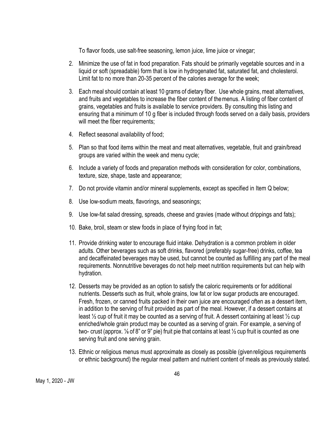To flavor foods, use salt-free seasoning, lemon juice, lime juice or vinegar;

- 2. Minimize the use of fat in food preparation. Fats should be primarily vegetable sources and in a liquid or soft (spreadable) form that is low in hydrogenated fat, saturated fat, and cholesterol. Limit fat to no more than 20-35 percent of the calories average for the week;
- 3. Each meal should contain at least 10 grams of dietary fiber. Use whole grains, meat alternatives, and fruits and vegetables to increase the fiber content of themenus. A listing of fiber content of grains, vegetables and fruits is available to service providers. By consulting this listing and ensuring that a minimum of 10 g fiber is included through foods served on a daily basis, providers will meet the fiber requirements;
- 4. Reflect seasonal availability of food;
- 5. Plan so that food items within the meat and meat alternatives, vegetable, fruit and grain/bread groups are varied within the week and menu cycle;
- 6. Include a variety of foods and preparation methods with consideration for color, combinations, texture, size, shape, taste and appearance;
- 7. Do not provide vitamin and/or mineral supplements, except as specified in Item Q below;
- 8. Use low-sodium meats, flavorings, and seasonings;
- 9. Use low-fat salad dressing, spreads, cheese and gravies (made without drippings and fats);
- 10. Bake, broil, steam or stew foods in place of frying food in fat;
- 11. Provide drinking water to encourage fluid intake. Dehydration is a common problem in older adults. Other beverages such as soft drinks, flavored (preferably sugar-free) drinks, coffee, tea and decaffeinated beverages may be used, but cannot be counted as fulfilling any part of the meal requirements. Nonnutritive beverages do not help meet nutrition requirements but can help with hydration.
- 12. Desserts may be provided as an option to satisfy the caloric requirements or for additional nutrients. Desserts such as fruit, whole grains, low fat or low sugar products are encouraged. Fresh, frozen, or canned fruits packed in their own juice are encouraged often as a dessert item, in addition to the serving of fruit provided as part of the meal. However, if a dessert contains at least  $\frac{1}{2}$  cup of fruit it may be counted as a serving of fruit. A dessert containing at least  $\frac{1}{2}$  cup enriched/whole grain product may be counted as a serving of grain. For example, a serving of two- crust (approx. ⅛ of 8" or 9" pie) fruit pie that contains at least ½ cup fruit is counted as one serving fruit and one serving grain.
- 13. Ethnic or religious menus must approximate as closely as possible (givenreligious requirements or ethnic background) the regular meal pattern and nutrient content of meals as previously stated.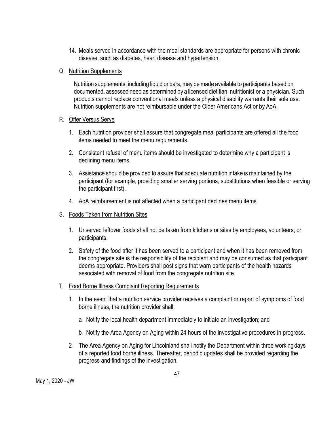14. Meals served in accordance with the meal standards are appropriate for persons with chronic disease, such as diabetes, heart disease and hypertension.

#### Q. Nutrition Supplements

Nutrition supplements, including liquid or bars, may be made available to participants based on documented, assessed need as determined by a licensed dietitian, nutritionist or a physician. Such products cannot replace conventional meals unless a physical disability warrants their sole use. Nutrition supplements are not reimbursable under the Older Americans Act or by AoA.

#### R. Offer Versus Serve

- 1. Each nutrition provider shall assure that congregate meal participants are offered all the food items needed to meet the menu requirements.
- 2. Consistent refusal of menu items should be investigated to determine why a participant is declining menu items.
- 3. Assistance should be provided to assure that adequate nutrition intake is maintained by the participant (for example, providing smaller serving portions, substitutions when feasible or serving the participant first).
- 4. AoA reimbursement is not affected when a participant declines menu items.
- S. Foods Taken from Nutrition Sites
	- 1. Unserved leftover foods shall not be taken from kitchens or sites by employees, volunteers, or participants.
	- 2. Safety of the food after it has been served to a participant and when it has been removed from the congregate site is the responsibility of the recipient and may be consumed as that participant deems appropriate. Providers shall post signs that warn participants of the health hazards associated with removal of food from the congregate nutrition site.
- T. Food Borne Illness Complaint Reporting Requirements
	- 1. In the event that a nutrition service provider receives a complaint or report of symptoms of food borne illness, the nutrition provider shall:
		- a. Notify the local health department immediately to initiate an investigation; and
		- b. Notify the Area Agency on Aging within 24 hours of the investigative procedures in progress.
	- 2. The Area Agency on Aging for Lincolnland shall notify the Department within three workingdays of a reported food borne illness. Thereafter, periodic updates shall be provided regarding the progress and findings of the investigation.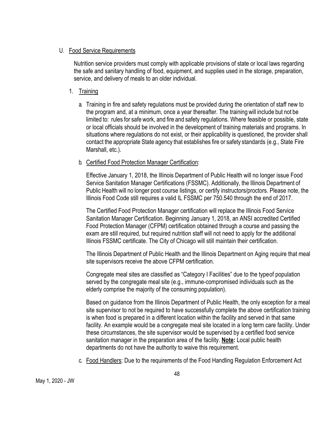#### U. Food Service Requirements

Nutrition service providers must comply with applicable provisions of state or local laws regarding the safe and sanitary handling of food, equipment, and supplies used in the storage, preparation, service, and delivery of meals to an older individual.

#### 1. Training

a. Training in fire and safety regulations must be provided during the orientation of staff new to the program and, at a minimum, once a year thereafter. The training will include but not be limited to: rules for safe work, and fire and safety regulations. Where feasible or possible, state or local officials should be involved in the development of training materials and programs. In situations where regulations do not exist, or their applicability is questioned, the provider shall contact the appropriate State agency that establishes fire or safety standards (e.g., State Fire Marshall, etc.).

#### b. Certified Food Protection Manager Certification:

Effective January 1, 2018, the Illinois Department of Public Health will no longer issue Food Service Sanitation Manager Certifications (FSSMC). Additionally, the Illinois Department of Public Health will no longer post course listings, or certify instructors/proctors. Please note, the Illinois Food Code still requires a valid IL FSSMC per 750.540 through the end of 2017.

The Certified Food Protection Manager certification will replace the Illinois Food Service Sanitation Manager Certification. Beginning January 1, 2018, an ANSI accredited Certified Food Protection Manager (CFPM) certification obtained through a course and passing the exam are still required, but required nutrition staff will not need to apply for the additional Illinois FSSMC certificate. The City of Chicago will still maintain their certification.

The Illinois Department of Public Health and the Illinois Department on Aging require that meal site supervisors receive the above CFPM certification.

Congregate meal sites are classified as "Category I Facilities" due to the typeof population served by the congregate meal site (e.g., immune-compromised individuals such as the elderly comprise the majority of the consuming population).

Based on guidance from the Illinois Department of Public Health, the only exception for a meal site supervisor to not be required to have successfully complete the above certification training is when food is prepared in a different location within the facility and served in that same facility. An example would be a congregate meal site located in a long term care facility. Under these circumstances, the site supervisor would be supervised by a certified food service sanitation manager in the preparation area of the facility. **Note:** Local public health departments do not have the authority to waive this requirement.

c. Food Handlers: Due to the requirements of the Food Handling Regulation Enforcement Act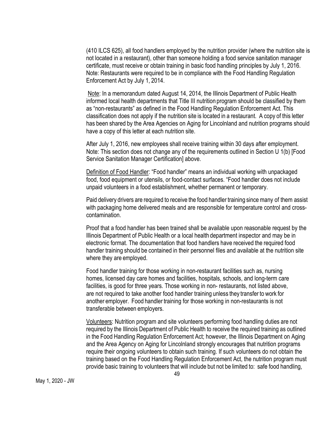(410 ILCS 625), all food handlers employed by the nutrition provider (where the nutrition site is not located in a restaurant), other than someone holding a food service sanitation manager certificate, must receive or obtain training in basic food handling principles by July 1, 2016. Note: Restaurants were required to be in compliance with the Food Handling Regulation Enforcement Act by July 1, 2014.

Note: In a memorandum dated August 14, 2014, the Illinois Department of Public Health informed local health departments that Title III nutrition program should be classified by them as "non-restaurants" as defined in the Food Handling Regulation Enforcement Act. This classification does not apply if the nutrition site is located in a restaurant. A copy of this letter has been shared by the Area Agencies on Aging for Lincolnland and nutrition programs should have a copy of this letter at each nutrition site.

After July 1, 2016, new employees shall receive training within 30 days after employment. Note: This section does not change any of the requirements outlined in Section U 1(b) [Food Service Sanitation Manager Certification] above.

Definition of Food Handler: "Food handler" means an individual working with unpackaged food, food equipment or utensils, or food-contact surfaces. "Food handler does not include unpaid volunteers in a food establishment, whether permanent or temporary.

Paid delivery drivers are required to receive the food handler training since many of them assist with packaging home delivered meals and are responsible for temperature control and crosscontamination.

Proof that a food handler has been trained shall be available upon reasonable request by the Illinois Department of Public Health or a local health department inspector and may be in electronic format. The documentation that food handlers have received the required food handler training should be contained in their personnel files and available at the nutrition site where they are employed.

Food handler training for those working in non-restaurant facilities such as, nursing homes, licensed day care homes and facilities, hospitals, schools, and long-term care facilities, is good for three years. Those working in non- restaurants, not listed above, are not required to take another food handler training unless they transfer to work for another employer. Food handler training for those working in non-restaurants is not transferable between employers.

Volunteers: Nutrition program and site volunteers performing food handling duties are not required by the Illinois Department of Public Health to receive the required training as outlined in the Food Handling Regulation Enforcement Act; however, the Illinois Department on Aging and the Area Agency on Aging for Lincolnland strongly encourages that nutrition programs require their ongoing volunteers to obtain such training. If such volunteers do not obtain the training based on the Food Handling Regulation Enforcement Act, the nutrition program must provide basic training to volunteers that will include but not be limited to: safe food handling,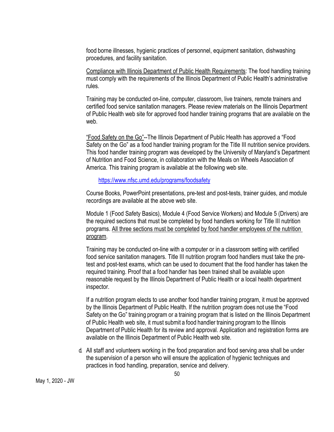food borne illnesses, hygienic practices of personnel, equipment sanitation, dishwashing procedures, and facility sanitation.

Compliance with Illinois Department of Public Health Requirements: The food handling training must comply with the requirements of the Illinois Department of Public Health's administrative rules.

Training may be conducted on-line, computer, classroom, live trainers, remote trainers and certified food service sanitation managers. Please review materials on the Illinois Department of Public Health web site for approved food handler training programs that are available on the web.

"Food Safety on the Go"--The Illinois Department of Public Health has approved a "Food Safety on the Go" as a food handler training program for the Title III nutrition service providers. This food handler training program was developed by the University of Maryland's Department of Nutrition and Food Science, in collaboration with the Meals on Wheels Association of America. This training program is available at the following web site.

#### https://www.nfsc.umd.edu/programs/foodsafety

Course Books, PowerPoint presentations, pre-test and post-tests, trainer guides, and module recordings are available at the above web site.

Module 1 (Food Safety Basics), Module 4 (Food Service Workers) and Module 5 (Drivers) are the required sections that must be completed by food handlers working for Title III nutrition programs. All three sections must be completed by food handler employees of the nutrition program.

Training may be conducted on-line with a computer or in a classroom setting with certified food service sanitation managers. Title III nutrition program food handlers must take the pretest and post-test exams, which can be used to document that the food handler has taken the required training. Proof that a food handler has been trained shall be available upon reasonable request by the Illinois Department of Public Health or a local health department inspector.

If a nutrition program elects to use another food handler training program, it must be approved by the Illinois Department of Public Health. If the nutrition program does not use the "Food Safety on the Go" training program or a training program that is listed on the Illinois Department of Public Health web site, it must submit a food handler training program to the Illinois Department of Public Health for its review and approval. Application and registration forms are available on the Illinois Department of Public Health web site.

d. All staff and volunteers working in the food preparation and food serving area shall be under the supervision of a person who will ensure the application of hygienic techniques and practices in food handling, preparation, service and delivery.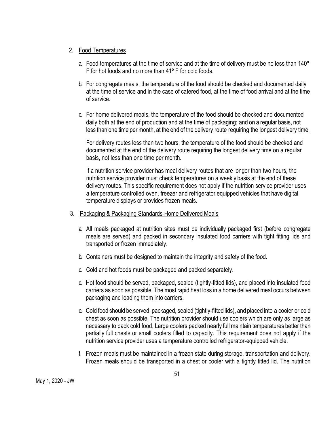#### 2. Food Temperatures

- a. Food temperatures at the time of service and at the time of delivery must be no less than 140º F for hot foods and no more than 41º F for cold foods.
- b. For congregate meals, the temperature of the food should be checked and documented daily at the time of service and in the case of catered food, at the time of food arrival and at the time of service.
- c. For home delivered meals, the temperature of the food should be checked and documented daily both at the end of production and at the time of packaging; and on a regular basis, not less than one time per month, at the end of the delivery route requiring the longest delivery time.

For delivery routes less than two hours, the temperature of the food should be checked and documented at the end of the delivery route requiring the longest delivery time on a regular basis, not less than one time per month.

If a nutrition service provider has meal delivery routes that are longer than two hours, the nutrition service provider must check temperatures on a weekly basis at the end of these delivery routes. This specific requirement does not apply if the nutrition service provider uses a temperature controlled oven, freezer and refrigerator equipped vehicles that have digital temperature displays or provides frozen meals.

- 3. Packaging & Packaging Standards-Home Delivered Meals
	- a. All meals packaged at nutrition sites must be individually packaged first (before congregate meals are served) and packed in secondary insulated food carriers with tight fitting lids and transported or frozen immediately.
	- b. Containers must be designed to maintain the integrity and safety of the food.
	- c. Cold and hot foods must be packaged and packed separately.
	- d. Hot food should be served, packaged, sealed (tightly-fitted lids), and placed into insulated food carriers as soon as possible. The most rapid heat loss in a home delivered meal occurs between packaging and loading them into carriers.
	- e. Cold food should be served, packaged, sealed (tightly-fitted lids), and placed into a cooler or cold chest as soon as possible. The nutrition provider should use coolers which are only as large as necessary to pack cold food. Large coolers packed nearly full maintain temperatures better than partially full chests or small coolers filled to capacity. This requirement does not apply if the nutrition service provider uses a temperature controlled refrigerator-equipped vehicle.
	- f. Frozen meals must be maintained in a frozen state during storage, transportation and delivery. Frozen meals should be transported in a chest or cooler with a tightly fitted lid. The nutrition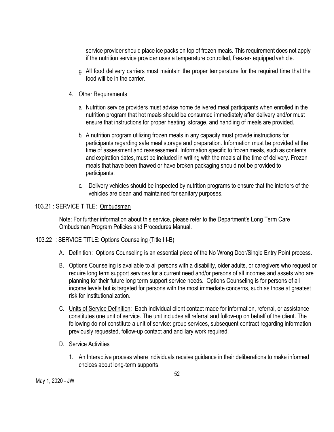service provider should place ice packs on top of frozen meals. This requirement does not apply if the nutrition service provider uses a temperature controlled, freezer- equipped vehicle.

- g. All food delivery carriers must maintain the proper temperature for the required time that the food will be in the carrier.
- 4. Other Requirements
	- a. Nutrition service providers must advise home delivered meal participants when enrolled in the nutrition program that hot meals should be consumed immediately after delivery and/or must ensure that instructions for proper heating, storage, and handling of meals are provided.
	- b. A nutrition program utilizing frozen meals in any capacity must provide instructions for participants regarding safe meal storage and preparation. Information must be provided at the time of assessment and reassessment. Information specific to frozen meals, such as contents and expiration dates, must be included in writing with the meals at the time of delivery. Frozen meals that have been thawed or have broken packaging should not be provided to participants.
	- c. Delivery vehicles should be inspected by nutrition programs to ensure that the interiors of the vehicles are clean and maintained for sanitary purposes.

## 103.21 : SERVICE TITLE: Ombudsman

Note: For further information about this service, please refer to the Department's Long Term Care Ombudsman Program Policies and Procedures Manual.

## 103.22 : SERVICE TITLE: Options Counseling (Title III-B)

- A. Definition: Options Counseling is an essential piece of the No Wrong Door/Single Entry Point process.
- B. Options Counseling is available to all persons with a disability, older adults, or caregivers who request or require long term support services for a current need and/or persons of all incomes and assets who are planning for their future long term support service needs. Options Counseling is for persons of all income levels but is targeted for persons with the most immediate concerns, such as those at greatest risk for institutionalization.
- C. Units of Service Definition: Each individual client contact made for information, referral, or assistance constitutes one unit of service. The unit includes all referral and follow-up on behalf of the client. The following do not constitute a unit of service: group services, subsequent contract regarding information previously requested, follow-up contact and ancillary work required.
- D. Service Activities
	- 1. An Interactive process where individuals receive guidance in their deliberations to make informed choices about long-term supports.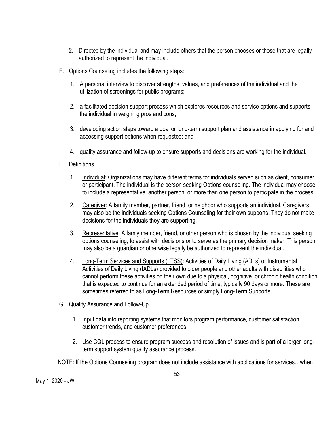- 2. Directed by the individual and may include others that the person chooses or those that are legally authorized to represent the individual.
- E. Options Counseling includes the following steps:
	- 1. A personal interview to discover strengths, values, and preferences of the individual and the utilization of screenings for public programs;
	- 2. a facilitated decision support process which explores resources and service options and supports the individual in weighing pros and cons;
	- 3. developing action steps toward a goal or long-term support plan and assistance in applying for and accessing support options when requested; and
	- 4. quality assurance and follow-up to ensure supports and decisions are working for the individual.
- F. Definitions
	- 1. Individual: Organizations may have different terms for individuals served such as client, consumer, or participant. The individual is the person seeking Options counseling. The individual may choose to include a representative, another person, or more than one person to participate in the process.
	- 2. Caregiver: A family member, partner, friend, or neighbor who supports an individual. Caregivers may also be the individuals seeking Options Counseling for their own supports. They do not make decisions for the individuals they are supporting.
	- 3. Representative: A famiy member, friend, or other person who is chosen by the individual seeking options counseling, to assist with decisions or to serve as the primary decision maker. This person may also be a guardian or otherwise legally be authorized to represent the individual.
	- 4. Long-Term Services and Supports (LTSS): Activities of Daily Living (ADLs) or Instrumental Activities of Daily Living (IADLs) provided to older people and other adults with disabilities who cannot perform these activities on their own due to a physical, cognitive, or chronic health condition that is expected to continue for an extended period of time, typically 90 days or more. These are sometimes referred to as Long-Term Resources or simply Long-Term Supports.
- G. Quality Assurance and Follow-Up
	- 1. Input data into reporting systems that monitors program performance, customer satisfaction, customer trends, and customer preferences.
	- 2. Use CQL process to ensure program success and resolution of issues and is part of a larger longterm support system quality assurance process.

NOTE: If the Options Counseling program does not include assistance with applications for services…when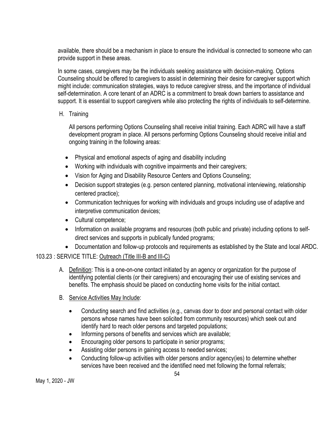available, there should be a mechanism in place to ensure the individual is connected to someone who can provide support in these areas.

In some cases, caregivers may be the individuals seeking assistance with decision-making. Options Counseling should be offered to caregivers to assist in determining their desire for caregiver support which might include: communication strategies, ways to reduce caregiver stress, and the importance of individual self-determination. A core tenant of an ADRC is a commitment to break down barriers to assistance and support. It is essential to support caregivers while also protecting the rights of individuals to self-determine.

# H. Training

All persons performing Options Counseling shall receive initial training. Each ADRC will have a staff development program in place. All persons performing Options Counseling should receive initial and ongoing training in the following areas:

- Physical and emotional aspects of aging and disability including
- Working with individuals with cognitive impairments and their caregivers;
- Vision for Aging and Disability Resource Centers and Options Counseling;
- Decision support strategies (e.g. person centered planning, motivational interviewing, relationship centered practice);
- Communication techniques for working with individuals and groups including use of adaptive and interpretive communication devices;
- Cultural competence;
- Information on available programs and resources (both public and private) including options to selfdirect services and supports in publically funded programs;
- Documentation and follow-up protocols and requirements as established by the State and local ARDC.

## 103.23 : SERVICE TITLE: Outreach (Title III-B and III-C)

- A. Definition: This is a one-on-one contact initiated by an agency or organization for the purpose of identifying potential clients (or their caregivers) and encouraging their use of existing services and benefits. The emphasis should be placed on conducting home visits for the initial contact.
- B. Service Activities May Include:
	- Conducting search and find activities (e.g., canvas door to door and personal contact with older persons whose names have been solicited from community resources) which seek out and identify hard to reach older persons and targeted populations;
	- Informing persons of benefits and services which are available;
	- Encouraging older persons to participate in senior programs;
	- Assisting older persons in gaining access to needed services;
	- Conducting follow-up activities with older persons and/or agency(ies) to determine whether services have been received and the identified need met following the formal referrals;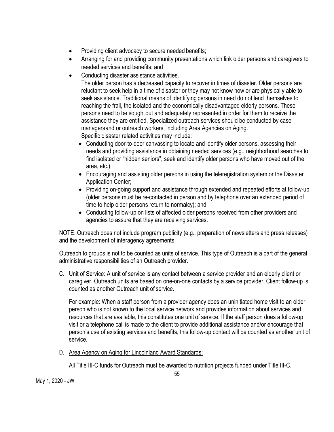- Providing client advocacy to secure needed benefits;
- Arranging for and providing community presentations which link older persons and caregivers to needed services and benefits; and
- Conducting disaster assistance activities.

The older person has a decreased capacity to recover in times of disaster. Older persons are reluctant to seek help in a time of disaster or they may not know how or are physically able to seek assistance. Traditional means of identifying persons in need do not lend themselves to reaching the frail, the isolated and the economically disadvantaged elderly persons. These persons need to be soughtout and adequately represented in order for them to receive the assistance they are entitled. Specialized outreach services should be conducted by case managersand or outreach workers, including Area Agencies on Aging. Specific disaster related activities may include:

- Conducting door-to-door canvassing to locate and identify older persons, assessing their needs and providing assistance in obtaining needed services (e.g., neighborhood searches to find isolated or "hidden seniors", seek and identify older persons who have moved out of the area, etc.);
- Encouraging and assisting older persons in using the teleregistration system or the Disaster Application Center;
- Providing on-going support and assistance through extended and repeated efforts at follow-up (older persons must be re-contacted in person and by telephone over an extended period of time to help older persons return to normalcy); and
- Conducting follow-up on lists of affected older persons received from other providers and agencies to assure that they are receiving services.

NOTE: Outreach does not include program publicity (e.g., preparation of newsletters and press releases) and the development of interagency agreements.

Outreach to groups is not to be counted as units of service. This type of Outreach is a part of the general administrative responsibilities of an Outreach provider.

C. Unit of Service: A unit of service is any contact between a service provider and an elderly client or caregiver. Outreach units are based on one-on-one contacts by a service provider. Client follow-up is counted as another Outreach unit of service.

For example: When a staff person from a provider agency does an uninitiated home visit to an older person who is not known to the local service network and provides information about services and resources that are available, this constitutes one unit of service. If the staff person does a follow-up visit or a telephone call is made to the client to provide additional assistance and/or encourage that person's use of existing services and benefits, this follow-up contact will be counted as another unit of service.

D. Area Agency on Aging for Lincolnland Award Standards:

All Title III-C funds for Outreach must be awarded to nutrition projects funded under Title III-C.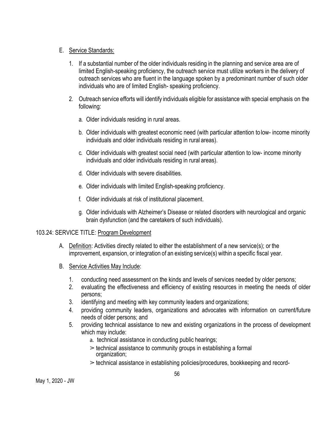## E. Service Standards:

- 1. If a substantial number of the older individuals residing in the planning and service area are of limited English-speaking proficiency, the outreach service must utilize workers in the delivery of outreach services who are fluent in the language spoken by a predominant number of such older individuals who are of limited English- speaking proficiency.
- 2. Outreach service efforts will identify individuals eligible for assistance with special emphasis on the following:
	- a. Older individuals residing in rural areas.
	- b. Older individuals with greatest economic need (with particular attention to low- income minority individuals and older individuals residing in rural areas).
	- c. Older individuals with greatest social need (with particular attention to low- income minority individuals and older individuals residing in rural areas).
	- d. Older individuals with severe disabilities.
	- e. Older individuals with limited English-speaking proficiency.
	- f. Older individuals at risk of institutional placement.
	- g. Older individuals with Alzheimer's Disease or related disorders with neurological and organic brain dysfunction (and the caretakers of such individuals).

# 103.24: SERVICE TITLE: Program Development

- A. Definition: Activities directly related to either the establishment of a new service(s); or the improvement, expansion, or integration of an existing service(s) within a specific fiscal year.
- B. Service Activities May Include:
	- 1. conducting need assessment on the kinds and levels of services needed by older persons;
	- 2. evaluating the effectiveness and efficiency of existing resources in meeting the needs of older persons;
	- 3. identifying and meeting with key community leaders and organizations;
	- 4. providing community leaders, organizations and advocates with information on current/future needs of older persons; and
	- 5. providing technical assistance to new and existing organizations in the process of development which may include:
		- a. technical assistance in conducting public hearings;
		- $\geq$  technical assistance to community groups in establishing a formal organization;
		- ➢ technical assistance in establishing policies/procedures, bookkeeping and record-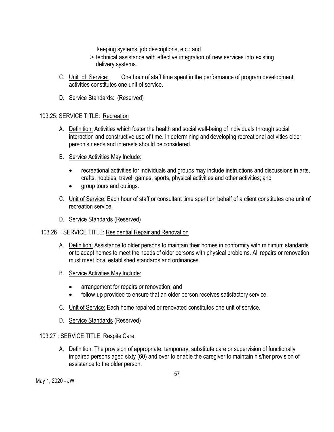keeping systems, job descriptions, etc.; and

- $\geq$  technical assistance with effective integration of new services into existing delivery systems.
- C. Unit of Service: One hour of staff time spent in the performance of program development activities constitutes one unit of service.
- D. Service Standards: (Reserved)

## 103.25: SERVICE TITLE: Recreation

- A. Definition: Activities which foster the health and social well-being of individuals through social interaction and constructive use of time. In determining and developing recreational activities older person's needs and interests should be considered.
- B. Service Activities May Include:
	- recreational activities for individuals and groups may include instructions and discussions in arts, crafts, hobbies, travel, games, sports, physical activities and other activities; and
	- group tours and outings.
- C. Unit of Service: Each hour of staff or consultant time spent on behalf of a client constitutes one unit of recreation service.
- D. Service Standards (Reserved)
- 103.26 : SERVICE TITLE: Residential Repair and Renovation
	- A. Definition: Assistance to older persons to maintain their homes in conformity with minimum standards or to adapt homes to meet the needs of older persons with physical problems. All repairs or renovation must meet local established standards and ordinances.
	- B. Service Activities May Include:
		- arrangement for repairs or renovation; and
		- follow-up provided to ensure that an older person receives satisfactory service.
	- C. Unit of Service: Each home repaired or renovated constitutes one unit of service.
	- D. Service Standards (Reserved)

## 103.27 : SERVICE TITLE: Respite Care

A. Definition: The provision of appropriate, temporary, substitute care or supervision of functionally impaired persons aged sixty (60) and over to enable the caregiver to maintain his/her provision of assistance to the older person.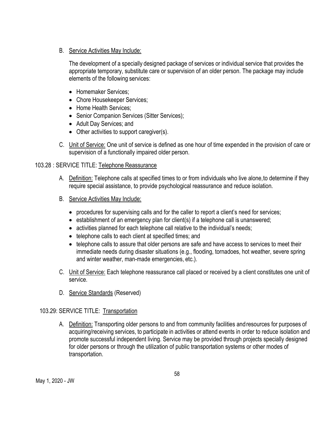B. Service Activities May Include:

The development of a specially designed package of services or individual service that provides the appropriate temporary, substitute care or supervision of an older person. The package may include elements of the following services:

- Homemaker Services;
- Chore Housekeeper Services;
- Home Health Services;
- Senior Companion Services (Sitter Services);
- Adult Day Services; and
- Other activities to support caregiver(s).
- C. Unit of Service: One unit of service is defined as one hour of time expended in the provision of care or supervision of a functionally impaired older person.

#### 103.28 : SERVICE TITLE: Telephone Reassurance

- A. Definition: Telephone calls at specified times to or from individuals who live alone,to determine if they require special assistance, to provide psychological reassurance and reduce isolation.
- B. Service Activities May Include:
	- procedures for supervising calls and for the caller to report a client's need for services;
	- establishment of an emergency plan for client(s) if a telephone call is unanswered;
	- activities planned for each telephone call relative to the individual's needs;
	- telephone calls to each client at specified times; and
	- telephone calls to assure that older persons are safe and have access to services to meet their immediate needs during disaster situations (e.g., flooding, tornadoes, hot weather, severe spring and winter weather, man-made emergencies, etc.).
- C. Unit of Service: Each telephone reassurance call placed or received by a client constitutes one unit of service.
- D. Service Standards (Reserved)

#### 103.29: SERVICE TITLE: Transportation

A. Definition: Transporting older persons to and from community facilities andresources for purposes of acquiring/receiving services, to participate in activities or attend events in order to reduce isolation and promote successful independent living. Service may be provided through projects specially designed for older persons or through the utilization of public transportation systems or other modes of transportation.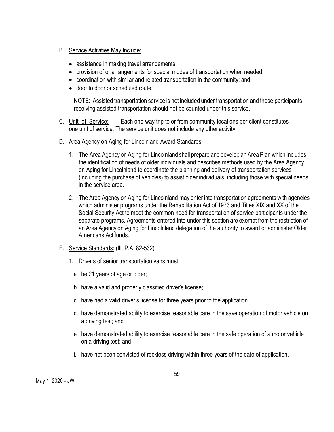- B. Service Activities May Include:
	- assistance in making travel arrangements;
	- provision of or arrangements for special modes of transportation when needed;
	- coordination with similar and related transportation in the community; and
	- door to door or scheduled route.

NOTE: Assisted transportation service is not included under transportation and those participants receiving assisted transportation should not be counted under this service.

- C. Unit of Service: Each one-way trip to or from community locations per client constitutes one unit of service. The service unit does not include any other activity.
- D. Area Agency on Aging for Lincolnland Award Standards:
	- 1. The Area Agency on Aging for Lincolnland shall prepare and develop an Area Plan which includes the identification of needs of older individuals and describes methods used by the Area Agency on Aging for Lincolnland to coordinate the planning and delivery of transportation services (including the purchase of vehicles) to assist older individuals, including those with special needs, in the service area.
	- 2. The Area Agency on Aging for Lincolnland may enter into transportation agreements with agencies which administer programs under the Rehabilitation Act of 1973 and Titles XIX and XX of the Social Security Act to meet the common need for transportation of service participants under the separate programs. Agreements entered into under this section are exempt from the restriction of an Area Agency on Aging for Lincolnland delegation of the authority to award or administer Older Americans Act funds.
- E. Service Standards: (Ill. P.A. 82-532)
	- 1. Drivers of senior transportation vans must:
		- a. be 21 years of age or older;
		- b. have a valid and properly classified driver's license;
		- c. have had a valid driver's license for three years prior to the application
		- d. have demonstrated ability to exercise reasonable care in the save operation of motor vehicle on a driving test; and
		- e. have demonstrated ability to exercise reasonable care in the safe operation of a motor vehicle on a driving test; and
		- f. have not been convicted of reckless driving within three years of the date of application.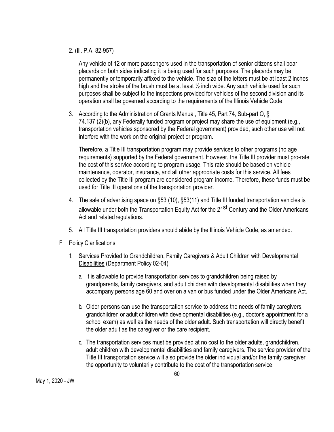#### 2. (Ill. P.A. 82-957)

Any vehicle of 12 or more passengers used in the transportation of senior citizens shall bear placards on both sides indicating it is being used for such purposes. The placards may be permanently or temporarily affixed to the vehicle. The size of the letters must be at least 2 inches high and the stroke of the brush must be at least  $\frac{1}{2}$  inch wide. Any such vehicle used for such purposes shall be subject to the inspections provided for vehicles of the second division and its operation shall be governed according to the requirements of the Illinois Vehicle Code.

3. According to the Administration of Grants Manual, Title 45, Part 74, Sub-part O, § 74.137 (2)(b), any Federally funded program or project may share the use of equipment (e.g., transportation vehicles sponsored by the Federal government) provided, such other use will not interfere with the work on the original project or program.

Therefore, a Title III transportation program may provide services to other programs (no age requirements) supported by the Federal government. However, the Title III provider must pro-rate the cost of this service according to program usage. This rate should be based on vehicle maintenance, operator, insurance, and all other appropriate costs for this service. All fees collected by the Title III program are considered program income. Therefore, these funds must be used for Title III operations of the transportation provider.

- 4. The sale of advertising space on §53 (10), §53(11) and Title III funded transportation vehicles is allowable under both the Transportation Equity Act for the 21<sup>st</sup> Century and the Older Americans Act and related regulations.
- 5. All Title III transportation providers should abide by the Illinois Vehicle Code, as amended.
- F. Policy Clarifications
	- 1. Services Provided to Grandchildren, Family Caregivers & Adult Children with Developmental Disabilities (Department Policy 02-04)
		- a. It is allowable to provide transportation services to grandchildren being raised by grandparents, family caregivers, and adult children with developmental disabilities when they accompany persons age 60 and over on a van or bus funded under the Older Americans Act.
		- b. Older persons can use the transportation service to address the needs of family caregivers, grandchildren or adult children with developmental disabilities (e.g., doctor's appointment for a school exam) as well as the needs of the older adult. Such transportation will directly benefit the older adult as the caregiver or the care recipient.
		- c. The transportation services must be provided at no cost to the older adults, grandchildren, adult children with developmental disabilities and family caregivers. The service provider of the Title III transportation service will also provide the older individual and/or the family caregiver the opportunity to voluntarily contribute to the cost of the transportation service.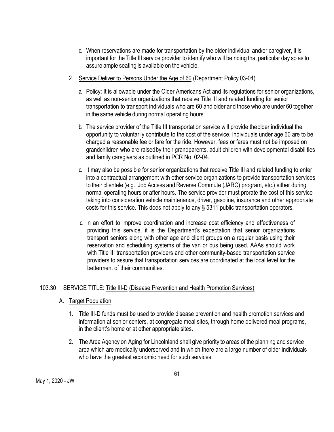- d. When reservations are made for transportation by the older individual and/or caregiver, it is important for the Title III service provider to identify who will be riding that particular day so as to assure ample seating is available on the vehicle.
- 2. Service Deliver to Persons Under the Age of 60 (Department Policy 03-04)
	- a. Policy: It is allowable under the Older Americans Act and its regulations for senior organizations, as well as non-senior organizations that receive Title III and related funding for senior transportation to transport individuals who are 60 and older and those who are under 60 together in the same vehicle during normal operating hours.
	- b. The service provider of the Title III transportation service will provide theolder individual the opportunity to voluntarily contribute to the cost of the service. Individuals under age 60 are to be charged a reasonable fee or fare for the ride. However, fees or fares must not be imposed on grandchildren who are raisedby their grandparents, adult children with developmental disabilities and family caregivers as outlined in PCR No. 02-04.
	- c. It may also be possible for senior organizations that receive Title III and related funding to enter into a contractual arrangement with other service organizations to provide transportation services to their clientele (e.g., Job Access and Reverse Commute (JARC) program, etc.) either during normal operating hours or after hours. The service provider must prorate the cost of this service taking into consideration vehicle maintenance, driver, gasoline, insurance and other appropriate costs for this service. This does not apply to any § 5311 public transportation operators.
	- d. In an effort to improve coordination and increase cost efficiency and effectiveness of providing this service, it is the Department's expectation that senior organizations transport seniors along with other age and client groups on a regular basis using their reservation and scheduling systems of the van or bus being used. AAAs should work with Title III transportation providers and other community-based transportation service providers to assure that transportation services are coordinated at the local level for the betterment of their communities.

## 103.30 : SERVICE TITLE: Title III-D (Disease Prevention and Health Promotion Services)

- A. Target Population
	- 1. Title III-D funds must be used to provide disease prevention and health promotion services and information at senior centers, at congregate meal sites, through home delivered meal programs, in the client's home or at other appropriate sites.
	- 2. The Area Agency on Aging for Lincolnland shall give priority to areas of the planning and service area which are medically underserved and in which there are a large number of older individuals who have the greatest economic need for such services.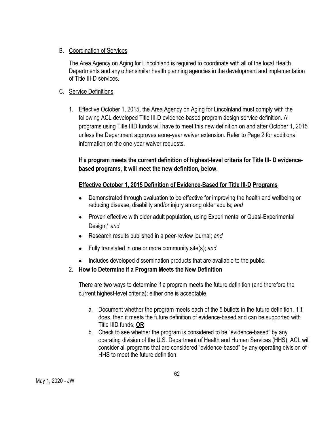#### B. Coordination of Services

The Area Agency on Aging for Lincolnland is required to coordinate with all of the local Health Departments and any other similar health planning agencies in the development and implementation of Title III-D services.

## C. Service Definitions

1. Effective October 1, 2015, the Area Agency on Aging for Lincolnland must comply with the following ACL developed Title III-D evidence-based program design service definition. All programs using Title IIID funds will have to meet this new definition on and after October 1, 2015 unless the Department approves aone-year waiver extension. Refer to Page 2 for additional information on the one-year waiver requests.

# **If a program meets the current definition of highest-level criteria for Title III- D evidencebased programs, it will meet the new definition, below.**

# **Effective October 1, 2015 Definition of Evidence-Based for Title III-D Programs**

- Demonstrated through evaluation to be effective for improving the health and wellbeing or reducing disease, disability and/or injury among older adults; *and*
- Proven effective with older adult population, using Experimental or Quasi-Experimental Design;\* *and*
- Research results published in a peer-review journal; *and*
- Fully translated in one or more community site(s); *and*
- Includes developed dissemination products that are available to the public.
- 2. **How to Determine if a Program Meets the New Definition**

There are two ways to determine if a program meets the future definition (and therefore the current highest-level criteria); either one is acceptable.

- a. Document whether the program meets each of the 5 bullets in the future definition. If it does, then it meets the future definition of evidence-based and can be supported with Title IIID funds, **OR**
- b. Check to see whether the program is considered to be "evidence-based" by any operating division of the U.S. Department of Health and Human Services (HHS). ACL will consider all programs that are considered "evidence-based" by any operating division of HHS to meet the future definition.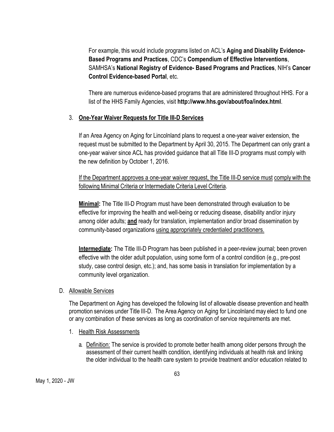For example, this would include programs listed on ACL's **Aging and Disability Evidence-Based Programs and Practices**, CDC's **Compendium of Effective Interventions**, SAMHSA's **National Registry of Evidence- Based Programs and Practices**, NIH's **Cancer Control Evidence-based Portal**, etc.

There are numerous evidence-based programs that are administered throughout HHS. For a list of the HHS Family Agencies, visit **http://www.hhs.gov/about/foa/index.html**.

# 3. **One-Year Waiver Requests for Title III-D Services**

If an Area Agency on Aging for Lincolnland plans to request a one-year waiver extension, the request must be submitted to the Department by April 30, 2015. The Department can only grant a one-year waiver since ACL has provided guidance that all Title III-D programs must comply with the new definition by October 1, 2016.

If the Department approves a one-year waiver request, the Title III-D service must comply with the following Minimal Criteria or Intermediate Criteria Level Criteria.

**Minimal:** The Title III-D Program must have been demonstrated through evaluation to be effective for improving the health and well-being or reducing disease, disability and/or injury among older adults; **and** ready for translation, implementation and/or broad dissemination by community-based organizations using appropriately credentialed practitioners.

**Intermediate:** The Title III-D Program has been published in a peer-review journal; been proven effective with the older adult population, using some form of a control condition (e.g., pre-post study, case control design, etc.); and, has some basis in translation for implementation by a community level organization.

## D. Allowable Services

The Department on Aging has developed the following list of allowable disease prevention and health promotion services under Title III-D. The Area Agency on Aging for Lincolnlandmay elect to fund one or any combination of these services as long as coordination of service requirements are met.

- 1. Health Risk Assessments
	- a. Definition: The service is provided to promote better health among older persons through the assessment of their current health condition, identifying individuals at health risk and linking the older individual to the health care system to provide treatment and/or education related to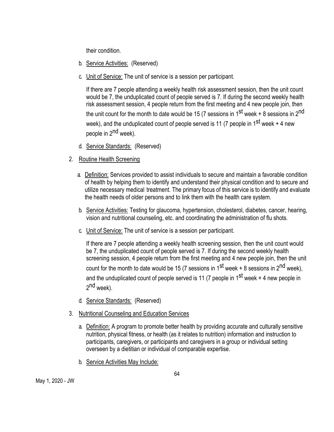their condition.

- b. Service Activities: (Reserved)
- c. Unit of Service: The unit of service is a session per participant.

If there are 7 people attending a weekly health risk assessment session, then the unit count would be 7, the unduplicated count of people served is 7. If during the second weekly health risk assessment session, 4 people return from the first meeting and 4 new people join, then the unit count for the month to date would be 15 (7 sessions in  $1<sup>st</sup>$  week + 8 sessions in  $2<sup>nd</sup>$ week), and the unduplicated count of people served is 11 (7 people in 1<sup>st</sup> week + 4 new people in 2<sup>nd</sup> week).

- d. Service Standards: (Reserved)
- 2. Routine Health Screening
	- a. Definition: Services provided to assist individuals to secure and maintain a favorable condition of health by helping them to identify and understand their physical condition and to secure and utilize necessary medical treatment. The primary focus of this service is to identify and evaluate the health needs of older persons and to link them with the health care system.
	- b. Service Activities: Testing for glaucoma, hypertension, cholesterol, diabetes, cancer, hearing, vision and nutritional counseling, etc. and coordinating the administration of flu shots.
	- c. Unit of Service: The unit of service is a session per participant.

If there are 7 people attending a weekly health screening session, then the unit count would be 7, the unduplicated count of people served is 7. If during the second weekly health screening session, 4 people return from the first meeting and 4 new people join, then the unit count for the month to date would be 15 (7 sessions in 1<sup>st</sup> week + 8 sessions in 2<sup>nd</sup> week), and the unduplicated count of people served is 11 (7 people in  $1^{st}$  week + 4 new people in  $2^{nd}$  week).

- d. Service Standards: (Reserved)
- 3. Nutritional Counseling and Education Services
	- a. Definition: A program to promote better health by providing accurate and culturally sensitive nutrition, physical fitness, or health (as it relates to nutrition) information and instruction to participants, caregivers, or participants and caregivers in a group or individual setting overseen by a dietitian or individual of comparable expertise.
	- b. Service Activities May Include: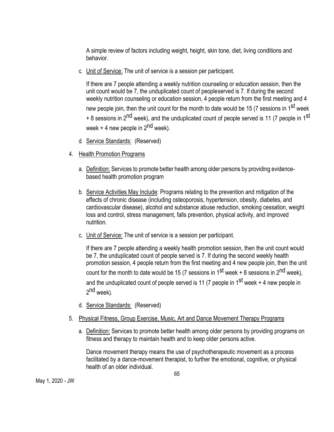A simple review of factors including weight, height, skin tone, diet, living conditions and behavior.

c. Unit of Service: The unit of service is a session per participant.

If there are 7 people attending a weekly nutrition counseling or education session, then the unit count would be 7, the unduplicated count of peopleserved is 7. If during the second weekly nutrition counseling or education session, 4 people return from the first meeting and 4 new people join, then the unit count for the month to date would be 15 (7 sessions in 1<sup>st</sup> week + 8 sessions in 2<sup>nd</sup> week), and the unduplicated count of people served is 11 (7 people in 1<sup>st</sup> week  $+$  4 new people in  $2<sup>nd</sup>$  week).

- d. Service Standards: (Reserved)
- 4. Health Promotion Programs
	- a. Definition: Services to promote better health among older persons by providing evidencebased health promotion program
	- b. Service Activities May Include: Programs relating to the prevention and mitigation of the effects of chronic disease (including osteoporosis, hypertension, obesity, diabetes, and cardiovascular disease), alcohol and substance abuse reduction, smoking cessation, weight loss and control, stress management, falls prevention, physical activity, and improved nutrition.
	- c. Unit of Service: The unit of service is a session per participant.

If there are 7 people attending a weekly health promotion session, then the unit count would be 7, the unduplicated count of people served is 7. If during the second weekly health promotion session, 4 people return from the first meeting and 4 new people join, then the unit count for the month to date would be 15 (7 sessions in 1<sup>st</sup> week + 8 sessions in 2<sup>nd</sup> week), and the unduplicated count of people served is 11 (7 people in  $1^{st}$  week + 4 new people in  $2^{nd}$  week).

- d. Service Standards: (Reserved)
- 5. Physical Fitness, Group Exercise, Music, Art and Dance Movement Therapy Programs
	- a. Definition: Services to promote better health among older persons by providing programs on fitness and therapy to maintain health and to keep older persons active.

Dance movement therapy means the use of psychotherapeutic movement as a process facilitated by a dance-movement therapist, to further the emotional, cognitive, or physical health of an older individual.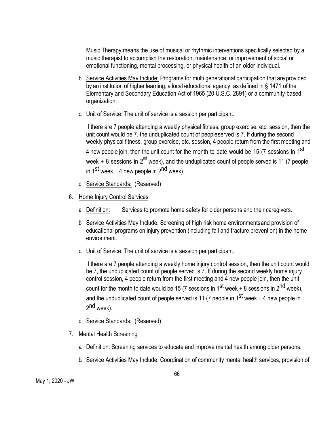Music Therapy means the use of musical or rhythmic interventions specifically selected by a music therapist to accomplish the restoration, maintenance, or improvement of social or emotional functioning, mental processing, or physical health of an older individual.

- b. Service Activities May Include: Programs for multi generational participation that are provided by an institution of higher learning, a local educational agency, as defined in § 1471 of the Elementary and Secondary Education Act of 1965 (20 U.S.C. 2891) or a community-based organization.
- c. Unit of Service: The unit of service is a session per participant.

If there are 7 people attending a weekly physical fitness, group exercise, etc. session, then the unit count would be 7, the unduplicated count of peopleserved is 7. If during the second weekly physical fitness, group exercise, etc. session, 4 people return from the first meeting and 4 new people join, then the unit count for the month to date would be 15 (7 sessions in 1<sup>st</sup> week + 8 sessions in 2<sup>nd</sup> week), and the unduplicated count of people served is 11 (7 people in 1<sup>st</sup> week + 4 new people in  $2<sup>nd</sup>$  week).

- d. Service Standards: (Reserved)
- 6. Home Injury Control Services
	- a. Definition: Services to promote home safety for older persons and their caregivers.
	- b. Service Activities May Include: Screening of high risk home environmentsand provision of educational programs on injury prevention (including fall and fracture prevention) in the home environment.
	- c. Unit of Service: The unit of service is a session per participant.

If there are 7 people attending a weekly home injury control session, then the unit count would be 7, the unduplicated count of people served is 7. If during the second weekly home injury control session, 4 people return from the first meeting and 4 new people join, then the unit count for the month to date would be 15 (7 sessions in 1<sup>st</sup> week + 8 sessions in 2<sup>nd</sup> week), and the unduplicated count of people served is 11 (7 people in  $1^{st}$  week + 4 new people in  $2^{nd}$  week).

- d. Service Standards: (Reserved)
- 7. Mental Health Screening
	- a. Definition: Screening services to educate and improve mental health among older persons.
	- b. Service Activities May Include: Coordination of community mental health services, provision of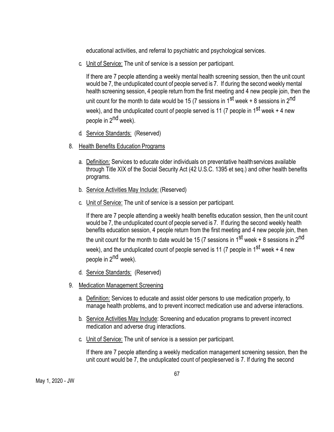educational activities, and referral to psychiatric and psychological services.

c. Unit of Service: The unit of service is a session per participant.

If there are 7 people attending a weekly mental health screening session, then the unit count would be 7, the unduplicated count of people served is 7. If during the second weeklymental health screening session, 4 people return from the first meeting and 4 new people join, then the unit count for the month to date would be 15 (7 sessions in  $1^{st}$  week + 8 sessions in  $2^{nd}$ week), and the unduplicated count of people served is 11 (7 people in 1<sup>st</sup> week + 4 new people in 2<sup>nd</sup> week).

- d. Service Standards: (Reserved)
- 8. Health Benefits Education Programs
	- a. Definition: Services to educate older individuals on preventative health services available through Title XIX of the Social Security Act (42 U.S.C. 1395 et seq.) and other health benefits programs.
	- b. Service Activities May Include: (Reserved)
	- c. Unit of Service: The unit of service is a session per participant.

If there are 7 people attending a weekly health benefits education session, then the unit count would be 7, the unduplicated count of people served is 7. If during the second weekly health benefits education session, 4 people return from the first meeting and 4 new people join, then the unit count for the month to date would be 15 (7 sessions in  $1<sup>st</sup>$  week + 8 sessions in  $2<sup>nd</sup>$ week), and the unduplicated count of people served is 11 (7 people in 1<sup>st</sup> week + 4 new people in 2<sup>nd</sup> week).

- d. Service Standards: (Reserved)
- 9. Medication Management Screening
	- a. Definition: Services to educate and assist older persons to use medication properly, to manage health problems, and to prevent incorrect medication use and adverse interactions.
	- b. Service Activities May Include: Screening and education programs to prevent incorrect medication and adverse drug interactions.
	- c. Unit of Service: The unit of service is a session per participant.

If there are 7 people attending a weekly medication management screening session, then the unit count would be 7, the unduplicated count of peopleserved is 7. If during the second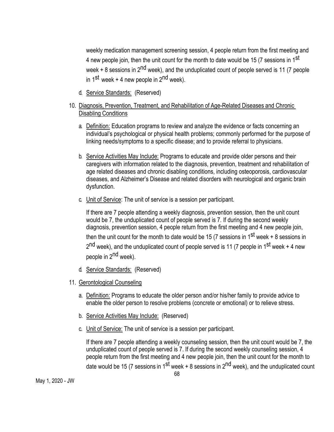weekly medication management screening session, 4 people return from the first meeting and 4 new people join, then the unit count for the month to date would be 15 (7 sessions in 1<sup>st</sup> week  $+$  8 sessions in 2<sup>nd</sup> week), and the unduplicated count of people served is 11 (7 people in 1<sup>st</sup> week + 4 new people in  $2<sup>nd</sup>$  week).

d. Service Standards: (Reserved)

## 10. Diagnosis, Prevention, Treatment, and Rehabilitation of Age-Related Diseases and Chronic Disabling Conditions

- a. Definition: Education programs to review and analyze the evidence or facts concerning an individual's psychological or physical health problems; commonly performed for the purpose of linking needs/symptoms to a specific disease; and to provide referral to physicians.
- b. Service Activities May Include: Programs to educate and provide older persons and their caregivers with information related to the diagnosis, prevention, treatment and rehabilitation of age related diseases and chronic disabling conditions, including osteoporosis, cardiovascular diseases, and Alzheimer's Disease and related disorders with neurological and organic brain dysfunction.
- c. Unit of Service: The unit of service is a session per participant.

If there are 7 people attending a weekly diagnosis, prevention session, then the unit count would be 7, the unduplicated count of people served is 7. If during the second weekly diagnosis, prevention session, 4 people return from the first meeting and 4 new people join, then the unit count for the month to date would be 15 (7 sessions in  $1<sup>st</sup>$  week + 8 sessions in  $2<sup>nd</sup>$  week), and the unduplicated count of people served is 11 (7 people in 1<sup>st</sup> week + 4 new people in 2<sup>nd</sup> week).

- d. Service Standards: (Reserved)
- 11. Gerontological Counseling
	- a. Definition: Programs to educate the older person and/or his/her family to provide advice to enable the older person to resolve problems (concrete or emotional) or to relieve stress.
	- b. Service Activities May Include: (Reserved)
	- c. Unit of Service: The unit of service is a session per participant.

If there are 7 people attending a weekly counseling session, then the unit count would be 7, the unduplicated count of people served is 7. If during the second weekly counseling session, 4 people return from the first meeting and 4 new people join, then the unit count for the month to date would be 15 (7 sessions in 1<sup>st</sup> week + 8 sessions in 2<sup>nd</sup> week), and the unduplicated count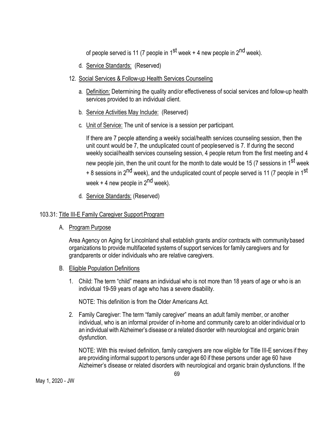of people served is 11 (7 people in  $1^{st}$  week + 4 new people in  $2^{nd}$  week).

- d. Service Standards: (Reserved)
- 12. Social Services & Follow-up Health Services Counseling
	- a. Definition: Determining the quality and/or effectiveness of social services and follow-up health services provided to an individual client.
	- b. Service Activities May Include: (Reserved)
	- c. Unit of Service: The unit of service is a session per participant.

If there are 7 people attending a weekly social/health services counseling session, then the unit count would be 7, the unduplicated count of peopleserved is 7. If during the second weekly social/health services counseling session, 4 people return from the first meeting and 4 new people join, then the unit count for the month to date would be 15 (7 sessions in 1<sup>st</sup> week + 8 sessions in 2<sup>nd</sup> week), and the unduplicated count of people served is 11 (7 people in 1<sup>st</sup> week  $+$  4 new people in  $2<sup>nd</sup>$  week).

d. Service Standards: (Reserved)

# 103.31: Title III-E Family Caregiver Support Program

A. Program Purpose

Area Agency on Aging for Lincolnland shall establish grants and/or contracts with community based organizations to provide multifaceted systems of support services for family caregivers and for grandparents or older individuals who are relative caregivers.

- B. Eligible Population Definitions
	- 1. Child: The term "child" means an individual who is not more than 18 years of age or who is an individual 19-59 years of age who has a severe disability.

NOTE: This definition is from the Older Americans Act.

2. Family Caregiver: The term "family caregiver" means an adult family member, or another individual, who is an informal provider of in-home and community care to an older individual or to an individual with Alzheimer's disease or a related disorder with neurological and organic brain dysfunction.

NOTE: With this revised definition, family caregivers are now eligible for Title III-E services if they are providing informal support to persons under age 60 if these persons under age 60 have Alzheimer's disease or related disorders with neurological and organic brain dysfunctions. If the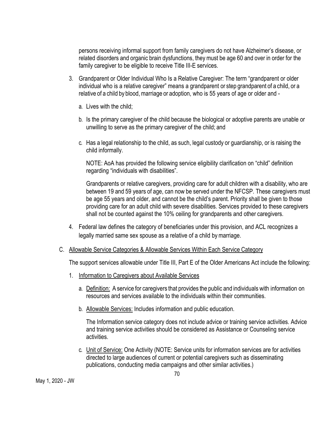persons receiving informal support from family caregivers do not have Alzheimer's disease, or related disorders and organic brain dysfunctions, they must be age 60 and over in order for the family caregiver to be eligible to receive Title III-E services.

- 3. Grandparent or Older Individual Who Is a Relative Caregiver: The term "grandparent or older individual who is a relative caregiver" means a grandparent or step grandparent of a child, or a relative of a child by blood, marriage or adoption, who is 55 years of age or older and
	- a. Lives with the child;
	- b. Is the primary caregiver of the child because the biological or adoptive parents are unable or unwilling to serve as the primary caregiver of the child; and
	- c. Has a legal relationship to the child, as such, legal custody or guardianship, or is raising the child informally.

NOTE: AoA has provided the following service eligibility clarification on "child" definition regarding "individuals with disabilities".

Grandparents or relative caregivers, providing care for adult children with a disability, who are between 19 and 59 years of age, can now be served under the NFCSP. These caregivers must be age 55 years and older, and cannot be the child's parent. Priority shall be given to those providing care for an adult child with severe disabilities. Services provided to these caregivers shall not be counted against the 10% ceiling for grandparents and other caregivers.

- 4. Federal law defines the category of beneficiaries under this provision, and ACL recognizes a legally married same sex spouse as a relative of a child bymarriage.
- C. Allowable Service Categories & Allowable Services Within Each Service Category

The support services allowable under Title III, Part E of the Older Americans Act include the following:

- 1. Information to Caregivers about Available Services
	- a. Definition: A service for caregivers that provides the public and individuals with information on resources and services available to the individuals within their communities.
	- b. Allowable Services: Includes information and public education.

The Information service category does not include advice or training service activities. Advice and training service activities should be considered as Assistance or Counseling service activities.

c. Unit of Service: One Activity (NOTE: Service units for information services are for activities directed to large audiences of current or potential caregivers such as disseminating publications, conducting media campaigns and other similar activities.)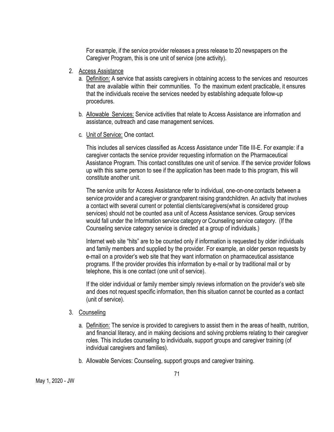For example, if the service provider releases a press release to 20 newspapers on the Caregiver Program, this is one unit of service (one activity).

- 2. Access Assistance
	- a. Definition: A service that assists caregivers in obtaining access to the services and resources that are available within their communities. To the maximum extent practicable, it ensures that the individuals receive the services needed by establishing adequate follow-up procedures.
	- b. Allowable Services: Service activities that relate to Access Assistance are information and assistance, outreach and case management services.
	- c. Unit of Service: One contact.

This includes all services classified as Access Assistance under Title III-E. For example: if a caregiver contacts the service provider requesting information on the Pharmaceutical Assistance Program. This contact constitutes one unit of service. If the service provider follows up with this same person to see if the application has been made to this program, this will constitute another unit.

The service units for Access Assistance refer to individual, one-on-one contacts between a service provider and a caregiver or grandparent raising grandchildren. An activity that involves a contact with several current or potential clients/caregivers(what is considered group services) should not be counted asa unit of Access Assistance services. Group services would fall under the Information service category or Counseling service category. (If the Counseling service category service is directed at a group of individuals.)

Internet web site "hits" are to be counted only if information is requested by older individuals and family members and supplied by the provider. For example, an older person requests by e-mail on a provider's web site that they want information on pharmaceutical assistance programs. If the provider provides this information by e-mail or by traditional mail or by telephone, this is one contact (one unit of service).

If the older individual or family member simply reviews information on the provider's web site and does not request specific information, then this situation cannot be counted as a contact (unit of service).

## 3. Counseling

- a. Definition: The service is provided to caregivers to assist them in the areas of health, nutrition, and financial literacy, and in making decisions and solving problems relating to their caregiver roles. This includes counseling to individuals, support groups and caregiver training (of individual caregivers and families).
- b. Allowable Services: Counseling, support groups and caregiver training.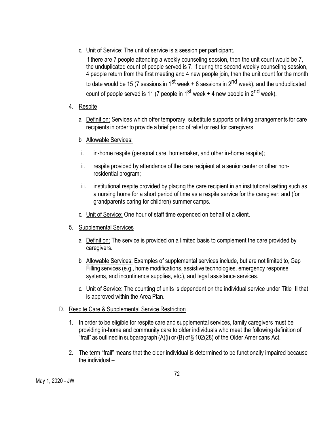c. Unit of Service: The unit of service is a session per participant.

If there are 7 people attending a weekly counseling session, then the unit count would be 7, the unduplicated count of people served is 7. If during the second weekly counseling session, 4 people return from the first meeting and 4 new people join, then the unit count for the month to date would be 15 (7 sessions in 1<sup>st</sup> week + 8 sessions in 2<sup>nd</sup> week), and the unduplicated count of people served is 11 (7 people in  $1^{st}$  week + 4 new people in  $2^{nd}$  week).

- 4. Respite
	- a. Definition: Services which offer temporary, substitute supports or living arrangements for care recipients in order to provide a brief period of relief or rest for caregivers.
	- b. Allowable Services:
	- i. in-home respite (personal care, homemaker, and other in-home respite);
	- ii. respite provided by attendance of the care recipient at a senior center or other nonresidential program;
	- iii. institutional respite provided by placing the care recipient in an institutional setting such as a nursing home for a short period of time as a respite service for the caregiver; and (for grandparents caring for children) summer camps.
	- c. Unit of Service: One hour of staff time expended on behalf of a client.
- 5. Supplemental Services
	- a. Definition: The service is provided on a limited basis to complement the care provided by caregivers.
	- b. Allowable Services: Examples of supplemental services include, but are not limited to, Gap Filling services (e.g., home modifications, assistive technologies, emergency response systems, and incontinence supplies, etc.), and legal assistance services.
	- c. Unit of Service: The counting of units is dependent on the individual service under Title III that is approved within the Area Plan.
- D. Respite Care & Supplemental Service Restriction
	- 1. In order to be eligible for respite care and supplemental services, family caregivers must be providing in-home and community care to older individuals who meet the following definition of "frail" as outlined in subparagraph (A)(i) or (B) of § 102(28) of the Older Americans Act.
	- 2. The term "frail" means that the older individual is determined to be functionally impaired because the individual –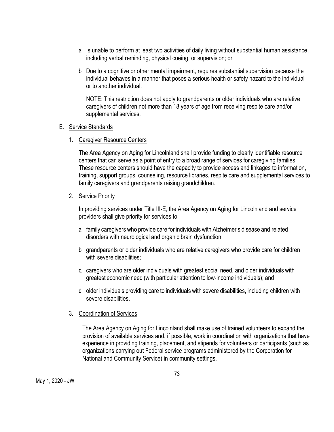- a. Is unable to perform at least two activities of daily living without substantial human assistance, including verbal reminding, physical cueing, or supervision; or
- b. Due to a cognitive or other mental impairment, requires substantial supervision because the individual behaves in a manner that poses a serious health or safety hazard to the individual or to another individual.

NOTE: This restriction does not apply to grandparents or older individuals who are relative caregivers of children not more than 18 years of age from receiving respite care and/or supplemental services.

#### E. Service Standards

1. Caregiver Resource Centers

The Area Agency on Aging for Lincolnland shall provide funding to clearly identifiable resource centers that can serve as a point of entry to a broad range of services for caregiving families. These resource centers should have the capacity to provide access and linkages to information, training, support groups, counseling, resource libraries, respite care and supplemental services to family caregivers and grandparents raising grandchildren.

# 2. Service Priority

In providing services under Title III-E, the Area Agency on Aging for Lincolnland and service providers shall give priority for services to:

- a. family caregivers who provide care for individuals with Alzheimer's disease and related disorders with neurological and organic brain dysfunction;
- b. grandparents or older individuals who are relative caregivers who provide care for children with severe disabilities;
- c. caregivers who are older individuals with greatest social need, and older individuals with greatest economic need (with particular attention to low-income individuals); and
- d. older individuals providing care to individuals with severe disabilities, including children with severe disabilities.

# 3. Coordination of Services

The Area Agency on Aging for Lincolnland shall make use of trained volunteers to expand the provision of available services and, if possible, work in coordination with organizations that have experience in providing training, placement, and stipends for volunteers or participants (such as organizations carrying out Federal service programs administered by the Corporation for National and Community Service) in community settings.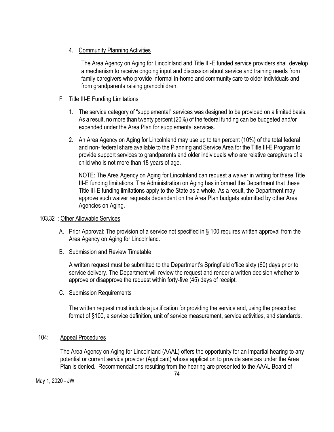# 4. Community Planning Activities

The Area Agency on Aging for Lincolnland and Title III-E funded service providers shall develop a mechanism to receive ongoing input and discussion about service and training needs from family caregivers who provide informal in-home and community care to older individuals and from grandparents raising grandchildren.

# F. Title III-E Funding Limitations

- 1. The service category of "supplemental" services was designed to be provided on a limited basis. As a result, no more than twenty percent (20%) of the federal funding can be budgeted and/or expended under the Area Plan for supplemental services.
- 2. An Area Agency on Aging for Lincolnland may use up to ten percent (10%) of the total federal and non- federal share available to the Planning and Service Area for the Title III-E Program to provide support services to grandparents and older individuals who are relative caregivers of a child who is not more than 18 years of age.

NOTE: The Area Agency on Aging for Lincolnland can request a waiver in writing for these Title III-E funding limitations. The Administration on Aging has informed the Department that these Title III-E funding limitations apply to the State as a whole. As a result, the Department may approve such waiver requests dependent on the Area Plan budgets submitted by other Area Agencies on Aging.

# 103.32 : Other Allowable Services

- A. Prior Approval: The provision of a service not specified in § 100 requires written approval from the Area Agency on Aging for Lincolnland.
- B. Submission and Review Timetable

A written request must be submitted to the Department's Springfield office sixty (60) days prior to service delivery. The Department will review the request and render a written decision whether to approve or disapprove the request within forty-five (45) days of receipt.

C. Submission Requirements

The written request must include a justification for providing the service and, using the prescribed format of §100, a service definition, unit of service measurement, service activities, and standards.

# 104: Appeal Procedures

The Area Agency on Aging for Lincolnland (AAAL) offers the opportunity for an impartial hearing to any potential or current service provider (Applicant) whose application to provide services under the Area Plan is denied. Recommendations resulting from the hearing are presented to the AAAL Board of

May 1, 2020 - JW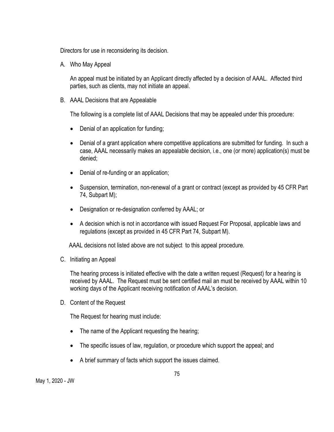Directors for use in reconsidering its decision.

A. Who May Appeal

An appeal must be initiated by an Applicant directly affected by a decision of AAAL. Affected third parties, such as clients, may not initiate an appeal.

B. AAAL Decisions that are Appealable

The following is a complete list of AAAL Decisions that may be appealed under this procedure:

- Denial of an application for funding;
- Denial of a grant application where competitive applications are submitted for funding. In such a case, AAAL necessarily makes an appealable decision, i.e., one (or more) application(s) must be denied;
- Denial of re-funding or an application;
- Suspension, termination, non-renewal of a grant or contract (except as provided by 45 CFR Part 74, Subpart M);
- Designation or re-designation conferred by AAAL; or
- A decision which is not in accordance with issued Request For Proposal, applicable laws and regulations (except as provided in 45 CFR Part 74, Subpart M).

AAAL decisions not listed above are not subject to this appeal procedure.

C. Initiating an Appeal

The hearing process is initiated effective with the date a written request (Request) for a hearing is received by AAAL. The Request must be sent certified mail an must be received by AAAL within 10 working days of the Applicant receiving notification of AAAL's decision.

D. Content of the Request

The Request for hearing must include:

- The name of the Applicant requesting the hearing;
- The specific issues of law, regulation, or procedure which support the appeal; and
- A brief summary of facts which support the issues claimed.

May 1, 2020 - JW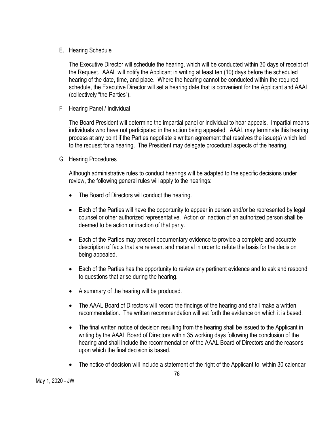E. Hearing Schedule

The Executive Director will schedule the hearing, which will be conducted within 30 days of receipt of the Request. AAAL will notify the Applicant in writing at least ten (10) days before the scheduled hearing of the date, time, and place. Where the hearing cannot be conducted within the required schedule, the Executive Director will set a hearing date that is convenient for the Applicant and AAAL (collectively "the Parties").

F. Hearing Panel / Individual

The Board President will determine the impartial panel or individual to hear appeals. Impartial means individuals who have not participated in the action being appealed. AAAL may terminate this hearing process at any point if the Parties negotiate a written agreement that resolves the issue(s) which led to the request for a hearing. The President may delegate procedural aspects of the hearing.

G. Hearing Procedures

Although administrative rules to conduct hearings will be adapted to the specific decisions under review, the following general rules will apply to the hearings:

- The Board of Directors will conduct the hearing.
- Each of the Parties will have the opportunity to appear in person and/or be represented by legal counsel or other authorized representative. Action or inaction of an authorized person shall be deemed to be action or inaction of that party.
- Each of the Parties may present documentary evidence to provide a complete and accurate description of facts that are relevant and material in order to refute the basis for the decision being appealed.
- Each of the Parties has the opportunity to review any pertinent evidence and to ask and respond to questions that arise during the hearing.
- A summary of the hearing will be produced.
- The AAAL Board of Directors will record the findings of the hearing and shall make a written recommendation. The written recommendation will set forth the evidence on which it is based.
- The final written notice of decision resulting from the hearing shall be issued to the Applicant in writing by the AAAL Board of Directors within 35 working days following the conclusion of the hearing and shall include the recommendation of the AAAL Board of Directors and the reasons upon which the final decision is based.
- The notice of decision will include a statement of the right of the Applicant to, within 30 calendar

May 1, 2020 - JW